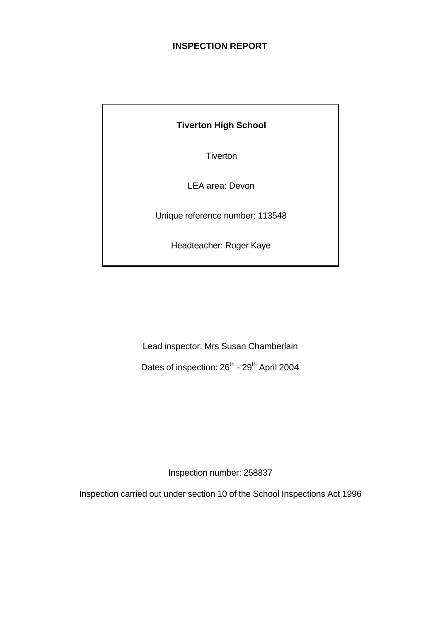#### **INSPECTION REPORT**

**Tiverton** 

LEA area: Devon

Unique reference number: 113548

Headteacher: Roger Kaye

Lead inspector: Mrs Susan Chamberlain Dates of inspection: 26<sup>th</sup> - 29<sup>th</sup> April 2004

Inspection number: 258837

Inspection carried out under section 10 of the School Inspections Act 1996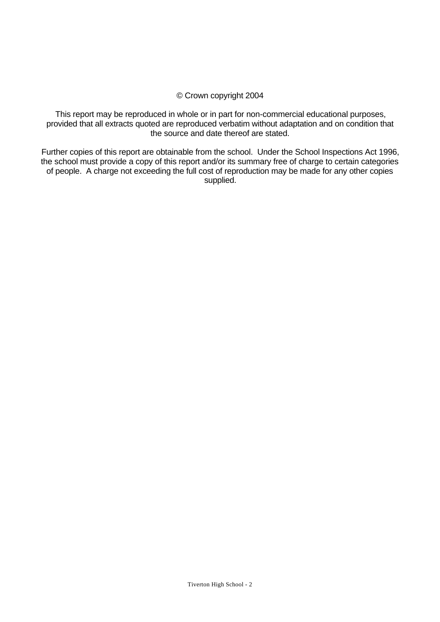#### © Crown copyright 2004

This report may be reproduced in whole or in part for non-commercial educational purposes, provided that all extracts quoted are reproduced verbatim without adaptation and on condition that the source and date thereof are stated.

Further copies of this report are obtainable from the school. Under the School Inspections Act 1996, the school must provide a copy of this report and/or its summary free of charge to certain categories of people. A charge not exceeding the full cost of reproduction may be made for any other copies supplied.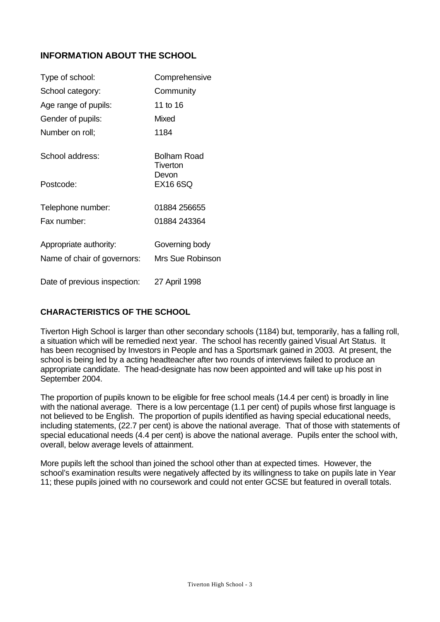## **INFORMATION ABOUT THE SCHOOL**

| Type of school:              | Comprehensive                  |
|------------------------------|--------------------------------|
| School category:             | Community                      |
| Age range of pupils:         | 11 to 16                       |
| Gender of pupils:            | Mixed                          |
| Number on roll;              | 1184                           |
| School address:              | <b>Bolham Road</b><br>Tiverton |
| Postcode:                    | Devon<br><b>EX16 6SQ</b>       |
| Telephone number:            | 01884 256655                   |
| Fax number:                  | 01884 243364                   |
| Appropriate authority:       | Governing body                 |
| Name of chair of governors:  | Mrs Sue Robinson               |
| Date of previous inspection: | 27 April 1998                  |

### **CHARACTERISTICS OF THE SCHOOL**

Tiverton High School is larger than other secondary schools (1184) but, temporarily, has a falling roll, a situation which will be remedied next year. The school has recently gained Visual Art Status. It has been recognised by Investors in People and has a Sportsmark gained in 2003. At present, the school is being led by a acting headteacher after two rounds of interviews failed to produce an appropriate candidate. The head-designate has now been appointed and will take up his post in September 2004.

The proportion of pupils known to be eligible for free school meals (14.4 per cent) is broadly in line with the national average. There is a low percentage (1.1 per cent) of pupils whose first language is not believed to be English. The proportion of pupils identified as having special educational needs, including statements, (22.7 per cent) is above the national average. That of those with statements of special educational needs (4.4 per cent) is above the national average. Pupils enter the school with, overall, below average levels of attainment.

More pupils left the school than joined the school other than at expected times. However, the school's examination results were negatively affected by its willingness to take on pupils late in Year 11; these pupils joined with no coursework and could not enter GCSE but featured in overall totals.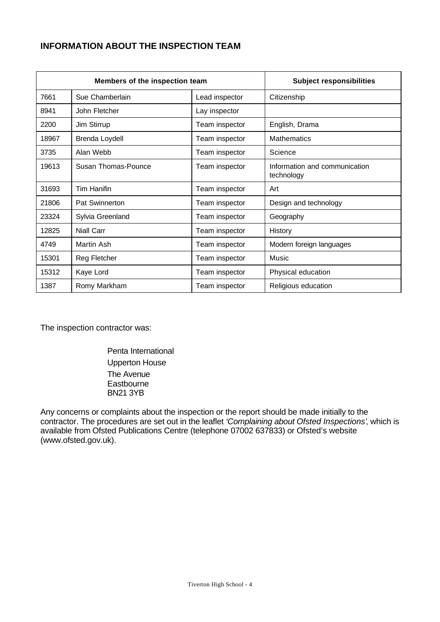#### **INFORMATION ABOUT THE INSPECTION TEAM**

| Members of the inspection team |                     | <b>Subject responsibilities</b> |                                             |
|--------------------------------|---------------------|---------------------------------|---------------------------------------------|
| 7661                           | Sue Chamberlain     | Lead inspector                  | Citizenship                                 |
| 8941                           | John Fletcher       | Lay inspector                   |                                             |
| 2200                           | Jim Stirrup         | Team inspector                  | English, Drama                              |
| 18967                          | Brenda Loydell      | Team inspector                  | <b>Mathematics</b>                          |
| 3735                           | Alan Webb           | Team inspector                  | Science                                     |
| 19613                          | Susan Thomas-Pounce | Team inspector                  | Information and communication<br>technology |
| 31693                          | <b>Tim Hanifin</b>  | Team inspector                  | Art                                         |
| 21806                          | Pat Swinnerton      | Team inspector                  | Design and technology                       |
| 23324                          | Sylvia Greenland    | Team inspector                  | Geography                                   |
| 12825                          | <b>Niall Carr</b>   | Team inspector                  | History                                     |
| 4749                           | Martin Ash          | Team inspector                  | Modern foreign languages                    |
| 15301                          | Reg Fletcher        | Team inspector                  | Music                                       |
| 15312                          | Kaye Lord           | Team inspector                  | Physical education                          |
| 1387                           | Romy Markham        | Team inspector                  | Religious education                         |

The inspection contractor was:

Penta International Upperton House The Avenue **Eastbourne** BN21 3YB

Any concerns or complaints about the inspection or the report should be made initially to the contractor. The procedures are set out in the leaflet *'Complaining about Ofsted Inspections'*, which is available from Ofsted Publications Centre (telephone 07002 637833) or Ofsted's website (www.ofsted.gov.uk).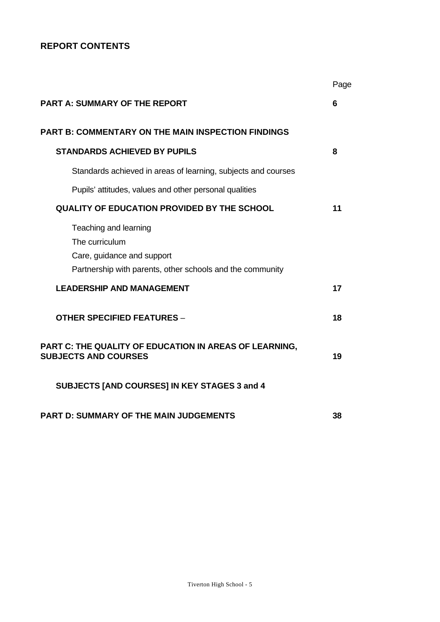## **REPORT CONTENTS**

|                                                                                                                                    | Page |
|------------------------------------------------------------------------------------------------------------------------------------|------|
| <b>PART A: SUMMARY OF THE REPORT</b>                                                                                               | 6    |
| <b>PART B: COMMENTARY ON THE MAIN INSPECTION FINDINGS</b>                                                                          |      |
| <b>STANDARDS ACHIEVED BY PUPILS</b>                                                                                                | 8    |
| Standards achieved in areas of learning, subjects and courses                                                                      |      |
| Pupils' attitudes, values and other personal qualities                                                                             |      |
| <b>QUALITY OF EDUCATION PROVIDED BY THE SCHOOL</b>                                                                                 | 11   |
| Teaching and learning<br>The curriculum<br>Care, guidance and support<br>Partnership with parents, other schools and the community |      |
| <b>LEADERSHIP AND MANAGEMENT</b>                                                                                                   | 17   |
| <b>OTHER SPECIFIED FEATURES -</b>                                                                                                  | 18   |
| PART C: THE QUALITY OF EDUCATION IN AREAS OF LEARNING,<br><b>SUBJECTS AND COURSES</b>                                              | 19   |
| SUBJECTS [AND COURSES] IN KEY STAGES 3 and 4                                                                                       |      |
| <b>PART D: SUMMARY OF THE MAIN JUDGEMENTS</b>                                                                                      | 38   |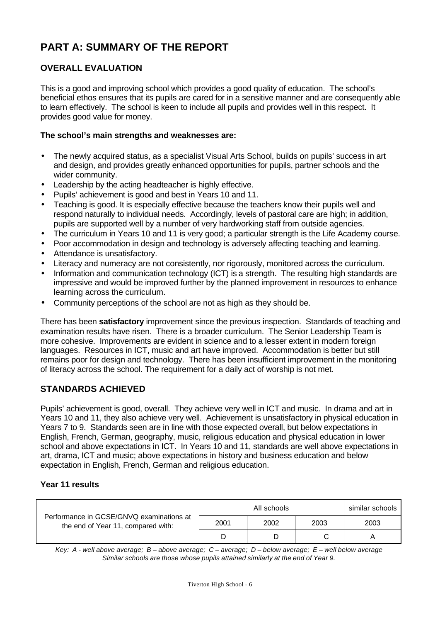# **PART A: SUMMARY OF THE REPORT**

## **OVERALL EVALUATION**

This is a good and improving school which provides a good quality of education. The school's beneficial ethos ensures that its pupils are cared for in a sensitive manner and are consequently able to learn effectively. The school is keen to include all pupils and provides well in this respect. It provides good value for money.

#### **The school's main strengths and weaknesses are:**

- The newly acquired status, as a specialist Visual Arts School, builds on pupils' success in art and design, and provides greatly enhanced opportunities for pupils, partner schools and the wider community.
- Leadership by the acting headteacher is highly effective.
- Pupils' achievement is good and best in Years 10 and 11.
- Teaching is good. It is especially effective because the teachers know their pupils well and respond naturally to individual needs. Accordingly, levels of pastoral care are high; in addition, pupils are supported well by a number of very hardworking staff from outside agencies.
- The curriculum in Years 10 and 11 is very good; a particular strength is the Life Academy course.
- Poor accommodation in design and technology is adversely affecting teaching and learning.
- Attendance is unsatisfactory.
- Literacy and numeracy are not consistently, nor rigorously, monitored across the curriculum.
- Information and communication technology (ICT) is a strength. The resulting high standards are impressive and would be improved further by the planned improvement in resources to enhance learning across the curriculum.
- Community perceptions of the school are not as high as they should be.

There has been **satisfactory** improvement since the previous inspection. Standards of teaching and examination results have risen. There is a broader curriculum. The Senior Leadership Team is more cohesive. Improvements are evident in science and to a lesser extent in modern foreign languages. Resources in ICT, music and art have improved. Accommodation is better but still remains poor for design and technology. There has been insufficient improvement in the monitoring of literacy across the school. The requirement for a daily act of worship is not met.

#### **STANDARDS ACHIEVED**

Pupils' achievement is good, overall. They achieve very well in ICT and music. In drama and art in Years 10 and 11, they also achieve very well. Achievement is unsatisfactory in physical education in Years 7 to 9. Standards seen are in line with those expected overall, but below expectations in English, French, German, geography, music, religious education and physical education in lower school and above expectations in ICT. In Years 10 and 11, standards are well above expectations in art, drama, ICT and music; above expectations in history and business education and below expectation in English, French, German and religious education.

#### **Year 11 results**

| Performance in GCSE/GNVQ examinations at<br>the end of Year 11, compared with: | All schools |      |      | similar schools |
|--------------------------------------------------------------------------------|-------------|------|------|-----------------|
|                                                                                | 2001        | 2002 | 2003 | 2003            |
|                                                                                |             |      |      |                 |

*Key: A - well above average; B – above average; C – average; D – below average; E – well below average Similar schools are those whose pupils attained similarly at the end of Year 9.*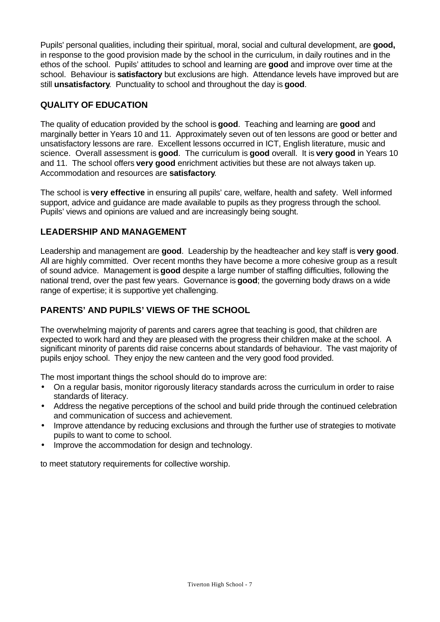Pupils' personal qualities, including their spiritual, moral, social and cultural development, are **good,** in response to the good provision made by the school in the curriculum, in daily routines and in the ethos of the school. Pupils' attitudes to school and learning are **good** and improve over time at the school. Behaviour is **satisfactory** but exclusions are high. Attendance levels have improved but are still **unsatisfactory**. Punctuality to school and throughout the day is **good**.

## **QUALITY OF EDUCATION**

The quality of education provided by the school is **good**. Teaching and learning are **good** and marginally better in Years 10 and 11. Approximately seven out of ten lessons are good or better and unsatisfactory lessons are rare. Excellent lessons occurred in ICT, English literature, music and science. Overall assessment is **good**. The curriculum is **good** overall. It is **very good** in Years 10 and 11. The school offers **very good** enrichment activities but these are not always taken up. Accommodation and resources are **satisfactory**.

The school is **very effective** in ensuring all pupils' care, welfare, health and safety. Well informed support, advice and guidance are made available to pupils as they progress through the school. Pupils' views and opinions are valued and are increasingly being sought.

## **LEADERSHIP AND MANAGEMENT**

Leadership and management are **good**. Leadership by the headteacher and key staff is **very good**. All are highly committed. Over recent months they have become a more cohesive group as a result of sound advice. Management is **good** despite a large number of staffing difficulties, following the national trend, over the past few years. Governance is **good**; the governing body draws on a wide range of expertise; it is supportive yet challenging.

## **PARENTS' AND PUPILS' VIEWS OF THE SCHOOL**

The overwhelming majority of parents and carers agree that teaching is good, that children are expected to work hard and they are pleased with the progress their children make at the school. A significant minority of parents did raise concerns about standards of behaviour. The vast majority of pupils enjoy school. They enjoy the new canteen and the very good food provided.

The most important things the school should do to improve are:

- On a regular basis, monitor rigorously literacy standards across the curriculum in order to raise standards of literacy.
- Address the negative perceptions of the school and build pride through the continued celebration and communication of success and achievement.
- Improve attendance by reducing exclusions and through the further use of strategies to motivate pupils to want to come to school.
- Improve the accommodation for design and technology.

to meet statutory requirements for collective worship.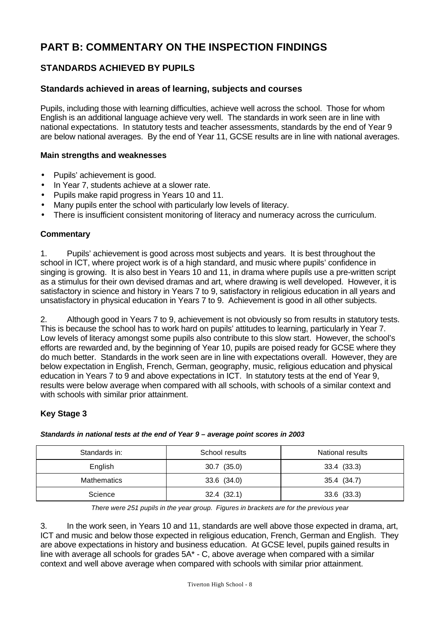# **PART B: COMMENTARY ON THE INSPECTION FINDINGS**

## **STANDARDS ACHIEVED BY PUPILS**

#### **Standards achieved in areas of learning, subjects and courses**

Pupils, including those with learning difficulties, achieve well across the school. Those for whom English is an additional language achieve very well. The standards in work seen are in line with national expectations. In statutory tests and teacher assessments, standards by the end of Year 9 are below national averages. By the end of Year 11, GCSE results are in line with national averages.

#### **Main strengths and weaknesses**

- Pupils' achievement is good.
- In Year 7, students achieve at a slower rate.
- Pupils make rapid progress in Years 10 and 11.
- Many pupils enter the school with particularly low levels of literacy.
- There is insufficient consistent monitoring of literacy and numeracy across the curriculum.

#### **Commentary**

1. Pupils' achievement is good across most subjects and years. It is best throughout the school in ICT, where project work is of a high standard, and music where pupils' confidence in singing is growing. It is also best in Years 10 and 11, in drama where pupils use a pre-written script as a stimulus for their own devised dramas and art, where drawing is well developed. However, it is satisfactory in science and history in Years 7 to 9, satisfactory in religious education in all years and unsatisfactory in physical education in Years 7 to 9. Achievement is good in all other subjects.

2. Although good in Years 7 to 9, achievement is not obviously so from results in statutory tests. This is because the school has to work hard on pupils' attitudes to learning, particularly in Year 7. Low levels of literacy amongst some pupils also contribute to this slow start. However, the school's efforts are rewarded and, by the beginning of Year 10, pupils are poised ready for GCSE where they do much better. Standards in the work seen are in line with expectations overall. However, they are below expectation in English, French, German, geography, music, religious education and physical education in Years 7 to 9 and above expectations in ICT. In statutory tests at the end of Year 9, results were below average when compared with all schools, with schools of a similar context and with schools with similar prior attainment.

#### **Key Stage 3**

| Standards in:      | School results  | National results |
|--------------------|-----------------|------------------|
| English            | $30.7$ $(35.0)$ | 33.4 (33.3)      |
| <b>Mathematics</b> | $33.6$ $(34.0)$ | 35.4 (34.7)      |
| Science            | 32.4(32.1)      | $33.6$ $(33.3)$  |

*Standards in national tests at the end of Year 9 – average point scores in 2003*

*There were 251 pupils in the year group. Figures in brackets are for the previous year*

3. In the work seen, in Years 10 and 11, standards are well above those expected in drama, art, ICT and music and below those expected in religious education, French, German and English. They are above expectations in history and business education. At GCSE level, pupils gained results in line with average all schools for grades 5A\* - C, above average when compared with a similar context and well above average when compared with schools with similar prior attainment.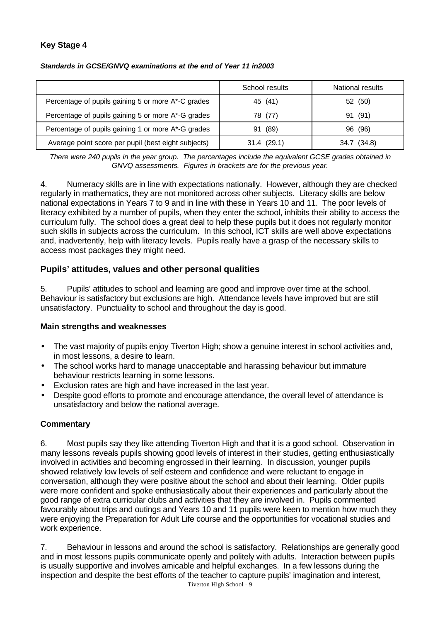#### **Key Stage 4**

| Standards in GCSE/GNVQ examinations at the end of Year 11 in2003 |  |  |
|------------------------------------------------------------------|--|--|
|------------------------------------------------------------------|--|--|

|                                                     | School results | National results |
|-----------------------------------------------------|----------------|------------------|
| Percentage of pupils gaining 5 or more A*-C grades  | 45 (41)        | 52 (50)          |
| Percentage of pupils gaining 5 or more A*-G grades  | 78 (77)        | (91)<br>91       |
| Percentage of pupils gaining 1 or more A*-G grades  | (89)<br>91     | (96)<br>96       |
| Average point score per pupil (best eight subjects) | 31.4(29.1)     | 34.7 (34.8)      |

*There were 240 pupils in the year group. The percentages include the equivalent GCSE grades obtained in GNVQ assessments. Figures in brackets are for the previous year.*

4. Numeracy skills are in line with expectations nationally. However, although they are checked regularly in mathematics, they are not monitored across other subjects. Literacy skills are below national expectations in Years 7 to 9 and in line with these in Years 10 and 11. The poor levels of literacy exhibited by a number of pupils, when they enter the school, inhibits their ability to access the curriculum fully. The school does a great deal to help these pupils but it does not regularly monitor such skills in subjects across the curriculum. In this school, ICT skills are well above expectations and, inadvertently, help with literacy levels. Pupils really have a grasp of the necessary skills to access most packages they might need.

#### **Pupils' attitudes, values and other personal qualities**

5. Pupils' attitudes to school and learning are good and improve over time at the school. Behaviour is satisfactory but exclusions are high. Attendance levels have improved but are still unsatisfactory. Punctuality to school and throughout the day is good.

#### **Main strengths and weaknesses**

- The vast majority of pupils enjoy Tiverton High; show a genuine interest in school activities and, in most lessons, a desire to learn.
- The school works hard to manage unacceptable and harassing behaviour but immature behaviour restricts learning in some lessons.
- Exclusion rates are high and have increased in the last year.
- Despite good efforts to promote and encourage attendance, the overall level of attendance is unsatisfactory and below the national average.

#### **Commentary**

6. Most pupils say they like attending Tiverton High and that it is a good school. Observation in many lessons reveals pupils showing good levels of interest in their studies, getting enthusiastically involved in activities and becoming engrossed in their learning. In discussion, younger pupils showed relatively low levels of self esteem and confidence and were reluctant to engage in conversation, although they were positive about the school and about their learning. Older pupils were more confident and spoke enthusiastically about their experiences and particularly about the good range of extra curricular clubs and activities that they are involved in. Pupils commented favourably about trips and outings and Years 10 and 11 pupils were keen to mention how much they were enjoying the Preparation for Adult Life course and the opportunities for vocational studies and work experience.

7. Behaviour in lessons and around the school is satisfactory. Relationships are generally good and in most lessons pupils communicate openly and politely with adults. Interaction between pupils is usually supportive and involves amicable and helpful exchanges. In a few lessons during the inspection and despite the best efforts of the teacher to capture pupils' imagination and interest,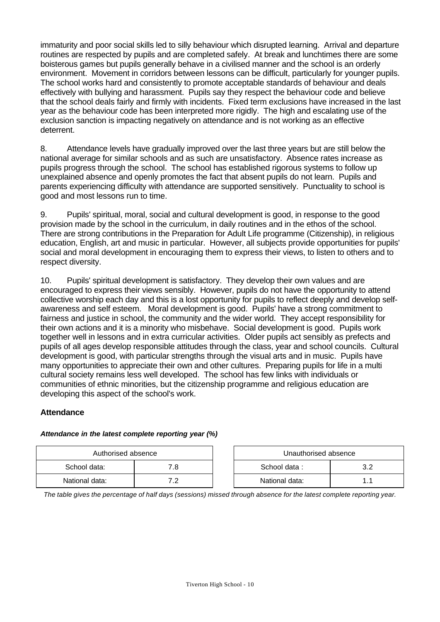immaturity and poor social skills led to silly behaviour which disrupted learning. Arrival and departure routines are respected by pupils and are completed safely. At break and lunchtimes there are some boisterous games but pupils generally behave in a civilised manner and the school is an orderly environment. Movement in corridors between lessons can be difficult, particularly for younger pupils. The school works hard and consistently to promote acceptable standards of behaviour and deals effectively with bullying and harassment. Pupils say they respect the behaviour code and believe that the school deals fairly and firmly with incidents. Fixed term exclusions have increased in the last year as the behaviour code has been interpreted more rigidly. The high and escalating use of the exclusion sanction is impacting negatively on attendance and is not working as an effective deterrent.

8. Attendance levels have gradually improved over the last three years but are still below the national average for similar schools and as such are unsatisfactory. Absence rates increase as pupils progress through the school. The school has established rigorous systems to follow up unexplained absence and openly promotes the fact that absent pupils do not learn. Pupils and parents experiencing difficulty with attendance are supported sensitively. Punctuality to school is good and most lessons run to time.

9. Pupils' spiritual, moral, social and cultural development is good, in response to the good provision made by the school in the curriculum, in daily routines and in the ethos of the school. There are strong contributions in the Preparation for Adult Life programme (Citizenship), in religious education, English, art and music in particular. However, all subjects provide opportunities for pupils' social and moral development in encouraging them to express their views, to listen to others and to respect diversity.

10. Pupils' spiritual development is satisfactory. They develop their own values and are encouraged to express their views sensibly. However, pupils do not have the opportunity to attend collective worship each day and this is a lost opportunity for pupils to reflect deeply and develop selfawareness and self esteem. Moral development is good. Pupils' have a strong commitment to fairness and justice in school, the community and the wider world. They accept responsibility for their own actions and it is a minority who misbehave. Social development is good. Pupils work together well in lessons and in extra curricular activities. Older pupils act sensibly as prefects and pupils of all ages develop responsible attitudes through the class, year and school councils. Cultural development is good, with particular strengths through the visual arts and in music. Pupils have many opportunities to appreciate their own and other cultures. Preparing pupils for life in a multi cultural society remains less well developed. The school has few links with individuals or communities of ethnic minorities, but the citizenship programme and religious education are developing this aspect of the school's work.

#### **Attendance**

#### *Attendance in the latest complete reporting year (%)*

| Authorised absence |     | Unauthorised absence |  |
|--------------------|-----|----------------------|--|
| School data:       | 7.8 | School data:         |  |
| National data:     | ר ד | National data:       |  |

| Unauthorised absence |    |  |  |
|----------------------|----|--|--|
| School data:         | 32 |  |  |
| National data:       | 11 |  |  |

*The table gives the percentage of half days (sessions) missed through absence for the latest complete reporting year.*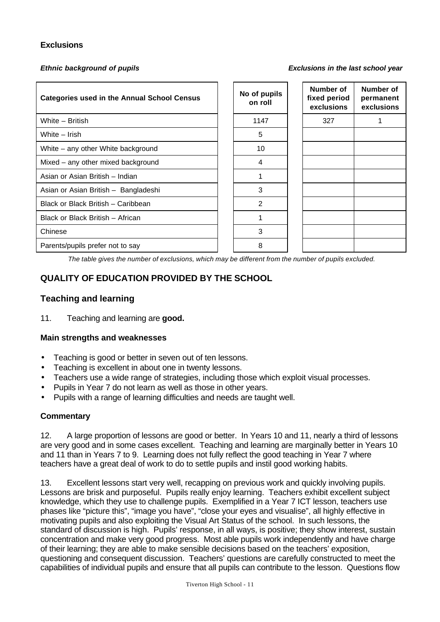#### **Exclusions**

*Ethnic background of pupils Exclusions in the last school year*

| <b>Categories used in the Annual School Census</b> | No of pupils<br>on roll | Number of<br>fixed period<br>exclusions | Number of<br>permanent<br>exclusions |
|----------------------------------------------------|-------------------------|-----------------------------------------|--------------------------------------|
| White - British                                    | 1147                    | 327                                     |                                      |
| White - Irish                                      | 5                       |                                         |                                      |
| White - any other White background                 | 10                      |                                         |                                      |
| Mixed – any other mixed background                 | 4                       |                                         |                                      |
| Asian or Asian British - Indian                    |                         |                                         |                                      |
| Asian or Asian British - Bangladeshi               | 3                       |                                         |                                      |
| Black or Black British - Caribbean                 | $\overline{2}$          |                                         |                                      |
| Black or Black British - African                   |                         |                                         |                                      |
| Chinese                                            | 3                       |                                         |                                      |
| Parents/pupils prefer not to say                   | 8                       |                                         |                                      |

*The table gives the number of exclusions, which may be different from the number of pupils excluded.*

## **QUALITY OF EDUCATION PROVIDED BY THE SCHOOL**

#### **Teaching and learning**

11. Teaching and learning are **good.**

#### **Main strengths and weaknesses**

- Teaching is good or better in seven out of ten lessons.
- Teaching is excellent in about one in twenty lessons.
- Teachers use a wide range of strategies, including those which exploit visual processes.
- Pupils in Year 7 do not learn as well as those in other years.
- Pupils with a range of learning difficulties and needs are taught well.

#### **Commentary**

12. A large proportion of lessons are good or better. In Years 10 and 11, nearly a third of lessons are very good and in some cases excellent. Teaching and learning are marginally better in Years 10 and 11 than in Years 7 to 9. Learning does not fully reflect the good teaching in Year 7 where teachers have a great deal of work to do to settle pupils and instil good working habits.

13. Excellent lessons start very well, recapping on previous work and quickly involving pupils. Lessons are brisk and purposeful. Pupils really enjoy learning. Teachers exhibit excellent subject knowledge, which they use to challenge pupils. Exemplified in a Year 7 ICT lesson, teachers use phases like "picture this", "image you have", "close your eyes and visualise", all highly effective in motivating pupils and also exploiting the Visual Art Status of the school. In such lessons, the standard of discussion is high. Pupils' response, in all ways, is positive; they show interest, sustain concentration and make very good progress. Most able pupils work independently and have charge of their learning; they are able to make sensible decisions based on the teachers' exposition, questioning and consequent discussion. Teachers' questions are carefully constructed to meet the capabilities of individual pupils and ensure that all pupils can contribute to the lesson. Questions flow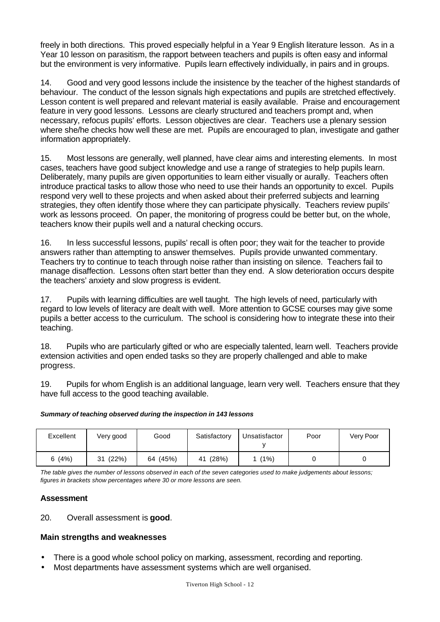freely in both directions. This proved especially helpful in a Year 9 English literature lesson. As in a Year 10 lesson on parasitism, the rapport between teachers and pupils is often easy and informal but the environment is very informative. Pupils learn effectively individually, in pairs and in groups.

14. Good and very good lessons include the insistence by the teacher of the highest standards of behaviour. The conduct of the lesson signals high expectations and pupils are stretched effectively. Lesson content is well prepared and relevant material is easily available. Praise and encouragement feature in very good lessons. Lessons are clearly structured and teachers prompt and, when necessary, refocus pupils' efforts. Lesson objectives are clear. Teachers use a plenary session where she/he checks how well these are met. Pupils are encouraged to plan, investigate and gather information appropriately.

15. Most lessons are generally, well planned, have clear aims and interesting elements. In most cases, teachers have good subject knowledge and use a range of strategies to help pupils learn. Deliberately, many pupils are given opportunities to learn either visually or aurally. Teachers often introduce practical tasks to allow those who need to use their hands an opportunity to excel. Pupils respond very well to these projects and when asked about their preferred subjects and learning strategies, they often identify those where they can participate physically. Teachers review pupils' work as lessons proceed. On paper, the monitoring of progress could be better but, on the whole, teachers know their pupils well and a natural checking occurs.

16. In less successful lessons, pupils' recall is often poor; they wait for the teacher to provide answers rather than attempting to answer themselves. Pupils provide unwanted commentary. Teachers try to continue to teach through noise rather than insisting on silence. Teachers fail to manage disaffection. Lessons often start better than they end. A slow deterioration occurs despite the teachers' anxiety and slow progress is evident.

17. Pupils with learning difficulties are well taught. The high levels of need, particularly with regard to low levels of literacy are dealt with well. More attention to GCSE courses may give some pupils a better access to the curriculum. The school is considering how to integrate these into their teaching.

18. Pupils who are particularly gifted or who are especially talented, learn well. Teachers provide extension activities and open ended tasks so they are properly challenged and able to make progress.

19. Pupils for whom English is an additional language, learn very well. Teachers ensure that they have full access to the good teaching available.

| Excellent | Very good   | Good     | Satisfactory | Unsatisfactor | Poor | Very Poor |
|-----------|-------------|----------|--------------|---------------|------|-----------|
| 6(4%)     | (22%)<br>31 | 64 (45%) | (28%)<br>41  | (1%)          |      |           |

*The table gives the number of lessons observed in each of the seven categories used to make judgements about lessons; figures in brackets show percentages where 30 or more lessons are seen.*

#### **Assessment**

#### 20. Overall assessment is **good**.

#### **Main strengths and weaknesses**

- There is a good whole school policy on marking, assessment, recording and reporting.
- Most departments have assessment systems which are well organised.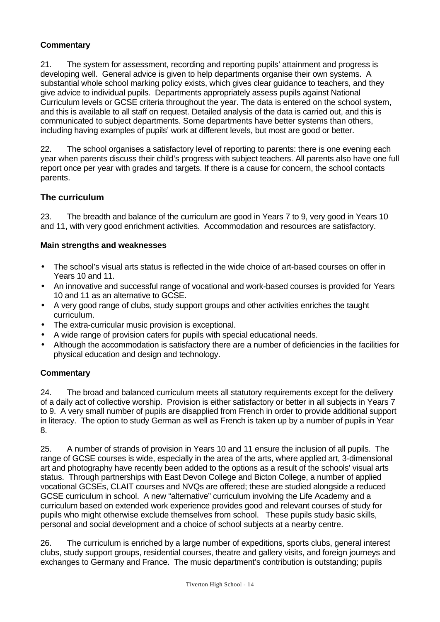### **Commentary**

21. The system for assessment, recording and reporting pupils' attainment and progress is developing well. General advice is given to help departments organise their own systems. A substantial whole school marking policy exists, which gives clear guidance to teachers, and they give advice to individual pupils. Departments appropriately assess pupils against National Curriculum levels or GCSE criteria throughout the year. The data is entered on the school system, and this is available to all staff on request. Detailed analysis of the data is carried out, and this is communicated to subject departments. Some departments have better systems than others, including having examples of pupils' work at different levels, but most are good or better.

22. The school organises a satisfactory level of reporting to parents: there is one evening each year when parents discuss their child's progress with subject teachers. All parents also have one full report once per year with grades and targets. If there is a cause for concern, the school contacts parents.

#### **The curriculum**

23. The breadth and balance of the curriculum are good in Years 7 to 9, very good in Years 10 and 11, with very good enrichment activities. Accommodation and resources are satisfactory.

#### **Main strengths and weaknesses**

- The school's visual arts status is reflected in the wide choice of art-based courses on offer in Years 10 and 11.
- An innovative and successful range of vocational and work-based courses is provided for Years 10 and 11 as an alternative to GCSE.
- A very good range of clubs, study support groups and other activities enriches the taught curriculum.
- The extra-curricular music provision is exceptional.
- A wide range of provision caters for pupils with special educational needs.
- Although the accommodation is satisfactory there are a number of deficiencies in the facilities for physical education and design and technology.

#### **Commentary**

24. The broad and balanced curriculum meets all statutory requirements except for the delivery of a daily act of collective worship. Provision is either satisfactory or better in all subjects in Years 7 to 9. A very small number of pupils are disapplied from French in order to provide additional support in literacy. The option to study German as well as French is taken up by a number of pupils in Year 8.

25. A number of strands of provision in Years 10 and 11 ensure the inclusion of all pupils. The range of GCSE courses is wide, especially in the area of the arts, where applied art, 3-dimensional art and photography have recently been added to the options as a result of the schools' visual arts status. Through partnerships with East Devon College and Bicton College, a number of applied vocational GCSEs, CLAIT courses and NVQs are offered; these are studied alongside a reduced GCSE curriculum in school. A new "alternative" curriculum involving the Life Academy and a curriculum based on extended work experience provides good and relevant courses of study for pupils who might otherwise exclude themselves from school. These pupils study basic skills, personal and social development and a choice of school subjects at a nearby centre.

26. The curriculum is enriched by a large number of expeditions, sports clubs, general interest clubs, study support groups, residential courses, theatre and gallery visits, and foreign journeys and exchanges to Germany and France. The music department's contribution is outstanding; pupils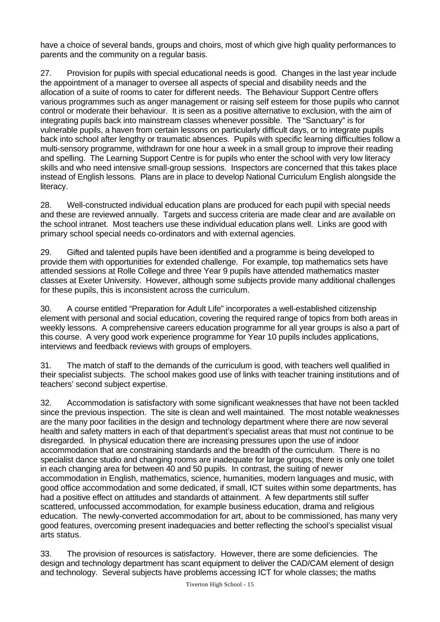have a choice of several bands, groups and choirs, most of which give high quality performances to parents and the community on a regular basis.

27. Provision for pupils with special educational needs is good. Changes in the last year include the appointment of a manager to oversee all aspects of special and disability needs and the allocation of a suite of rooms to cater for different needs. The Behaviour Support Centre offers various programmes such as anger management or raising self esteem for those pupils who cannot control or moderate their behaviour. It is seen as a positive alternative to exclusion, with the aim of integrating pupils back into mainstream classes whenever possible. The "Sanctuary" is for vulnerable pupils, a haven from certain lessons on particularly difficult days, or to integrate pupils back into school after lengthy or traumatic absences. Pupils with specific learning difficulties follow a multi-sensory programme, withdrawn for one hour a week in a small group to improve their reading and spelling. The Learning Support Centre is for pupils who enter the school with very low literacy skills and who need intensive small-group sessions. Inspectors are concerned that this takes place instead of English lessons. Plans are in place to develop National Curriculum English alongside the literacy.

28. Well-constructed individual education plans are produced for each pupil with special needs and these are reviewed annually. Targets and success criteria are made clear and are available on the school intranet. Most teachers use these individual education plans well. Links are good with primary school special needs co-ordinators and with external agencies.

29. Gifted and talented pupils have been identified and a programme is being developed to provide them with opportunities for extended challenge. For example, top mathematics sets have attended sessions at Rolle College and three Year 9 pupils have attended mathematics master classes at Exeter University. However, although some subjects provide many additional challenges for these pupils, this is inconsistent across the curriculum.

30. A course entitled "Preparation for Adult Life" incorporates a well-established citizenship element with personal and social education, covering the required range of topics from both areas in weekly lessons. A comprehensive careers education programme for all year groups is also a part of this course. A very good work experience programme for Year 10 pupils includes applications, interviews and feedback reviews with groups of employers.

31. The match of staff to the demands of the curriculum is good, with teachers well qualified in their specialist subjects. The school makes good use of links with teacher training institutions and of teachers' second subject expertise.

32. Accommodation is satisfactory with some significant weaknesses that have not been tackled since the previous inspection. The site is clean and well maintained. The most notable weaknesses are the many poor facilities in the design and technology department where there are now several health and safety matters in each of that department's specialist areas that must not continue to be disregarded. In physical education there are increasing pressures upon the use of indoor accommodation that are constraining standards and the breadth of the curriculum. There is no specialist dance studio and changing rooms are inadequate for large groups; there is only one toilet in each changing area for between 40 and 50 pupils. In contrast, the suiting of newer accommodation in English, mathematics, science, humanities, modern languages and music, with good office accommodation and some dedicated, if small, ICT suites within some departments, has had a positive effect on attitudes and standards of attainment. A few departments still suffer scattered, unfocussed accommodation, for example business education, drama and religious education. The newly-converted accommodation for art, about to be commissioned, has many very good features, overcoming present inadequacies and better reflecting the school's specialist visual arts status.

33. The provision of resources is satisfactory. However, there are some deficiencies. The design and technology department has scant equipment to deliver the CAD/CAM element of design and technology. Several subjects have problems accessing ICT for whole classes; the maths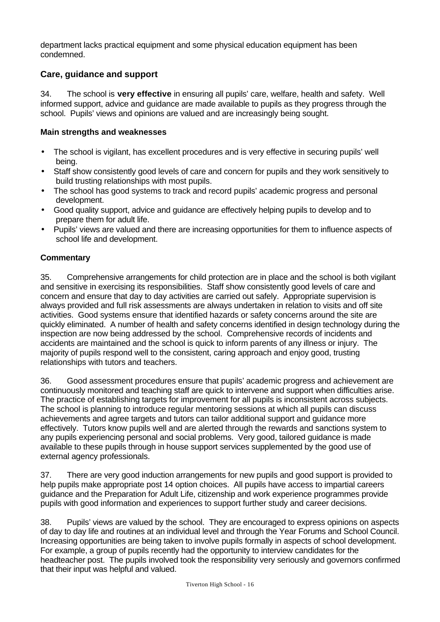department lacks practical equipment and some physical education equipment has been condemned.

### **Care, guidance and support**

34. The school is **very effective** in ensuring all pupils' care, welfare, health and safety. Well informed support, advice and guidance are made available to pupils as they progress through the school. Pupils' views and opinions are valued and are increasingly being sought.

#### **Main strengths and weaknesses**

- The school is vigilant, has excellent procedures and is very effective in securing pupils' well being.
- Staff show consistently good levels of care and concern for pupils and they work sensitively to build trusting relationships with most pupils.
- The school has good systems to track and record pupils' academic progress and personal development.
- Good quality support, advice and guidance are effectively helping pupils to develop and to prepare them for adult life.
- Pupils' views are valued and there are increasing opportunities for them to influence aspects of school life and development.

#### **Commentary**

35. Comprehensive arrangements for child protection are in place and the school is both vigilant and sensitive in exercising its responsibilities. Staff show consistently good levels of care and concern and ensure that day to day activities are carried out safely. Appropriate supervision is always provided and full risk assessments are always undertaken in relation to visits and off site activities. Good systems ensure that identified hazards or safety concerns around the site are quickly eliminated. A number of health and safety concerns identified in design technology during the inspection are now being addressed by the school. Comprehensive records of incidents and accidents are maintained and the school is quick to inform parents of any illness or injury. The majority of pupils respond well to the consistent, caring approach and enjoy good, trusting relationships with tutors and teachers.

36. Good assessment procedures ensure that pupils' academic progress and achievement are continuously monitored and teaching staff are quick to intervene and support when difficulties arise. The practice of establishing targets for improvement for all pupils is inconsistent across subjects. The school is planning to introduce regular mentoring sessions at which all pupils can discuss achievements and agree targets and tutors can tailor additional support and guidance more effectively. Tutors know pupils well and are alerted through the rewards and sanctions system to any pupils experiencing personal and social problems. Very good, tailored guidance is made available to these pupils through in house support services supplemented by the good use of external agency professionals.

37. There are very good induction arrangements for new pupils and good support is provided to help pupils make appropriate post 14 option choices. All pupils have access to impartial careers guidance and the Preparation for Adult Life, citizenship and work experience programmes provide pupils with good information and experiences to support further study and career decisions.

38. Pupils' views are valued by the school. They are encouraged to express opinions on aspects of day to day life and routines at an individual level and through the Year Forums and School Council. Increasing opportunities are being taken to involve pupils formally in aspects of school development. For example, a group of pupils recently had the opportunity to interview candidates for the headteacher post. The pupils involved took the responsibility very seriously and governors confirmed that their input was helpful and valued.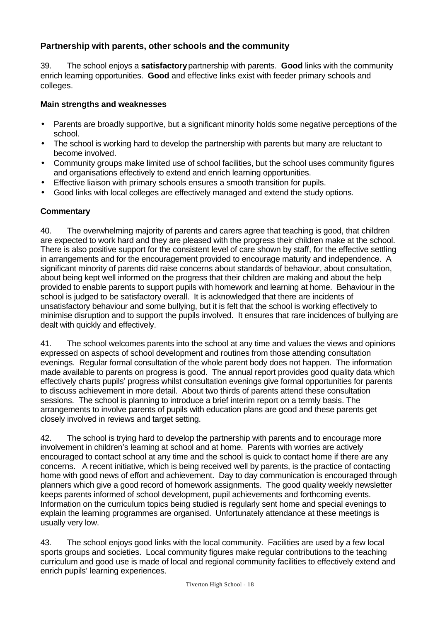## **Partnership with parents, other schools and the community**

39. The school enjoys a **satisfactory** partnership with parents. **Good** links with the community enrich learning opportunities. **Good** and effective links exist with feeder primary schools and colleges.

#### **Main strengths and weaknesses**

- Parents are broadly supportive, but a significant minority holds some negative perceptions of the school.
- The school is working hard to develop the partnership with parents but many are reluctant to become involved.
- Community groups make limited use of school facilities, but the school uses community figures and organisations effectively to extend and enrich learning opportunities.
- Effective liaison with primary schools ensures a smooth transition for pupils.
- Good links with local colleges are effectively managed and extend the study options.

#### **Commentary**

40. The overwhelming majority of parents and carers agree that teaching is good, that children are expected to work hard and they are pleased with the progress their children make at the school. There is also positive support for the consistent level of care shown by staff, for the effective settling in arrangements and for the encouragement provided to encourage maturity and independence. A significant minority of parents did raise concerns about standards of behaviour, about consultation, about being kept well informed on the progress that their children are making and about the help provided to enable parents to support pupils with homework and learning at home. Behaviour in the school is judged to be satisfactory overall. It is acknowledged that there are incidents of unsatisfactory behaviour and some bullying, but it is felt that the school is working effectively to minimise disruption and to support the pupils involved. It ensures that rare incidences of bullying are dealt with quickly and effectively.

41. The school welcomes parents into the school at any time and values the views and opinions expressed on aspects of school development and routines from those attending consultation evenings. Regular formal consultation of the whole parent body does not happen. The information made available to parents on progress is good. The annual report provides good quality data which effectively charts pupils' progress whilst consultation evenings give formal opportunities for parents to discuss achievement in more detail. About two thirds of parents attend these consultation sessions. The school is planning to introduce a brief interim report on a termly basis. The arrangements to involve parents of pupils with education plans are good and these parents get closely involved in reviews and target setting.

42. The school is trying hard to develop the partnership with parents and to encourage more involvement in children's learning at school and at home. Parents with worries are actively encouraged to contact school at any time and the school is quick to contact home if there are any concerns. A recent initiative, which is being received well by parents, is the practice of contacting home with good news of effort and achievement. Day to day communication is encouraged through planners which give a good record of homework assignments. The good quality weekly newsletter keeps parents informed of school development, pupil achievements and forthcoming events. Information on the curriculum topics being studied is regularly sent home and special evenings to explain the learning programmes are organised. Unfortunately attendance at these meetings is usually very low.

43. The school enjoys good links with the local community. Facilities are used by a few local sports groups and societies. Local community figures make regular contributions to the teaching curriculum and good use is made of local and regional community facilities to effectively extend and enrich pupils' learning experiences.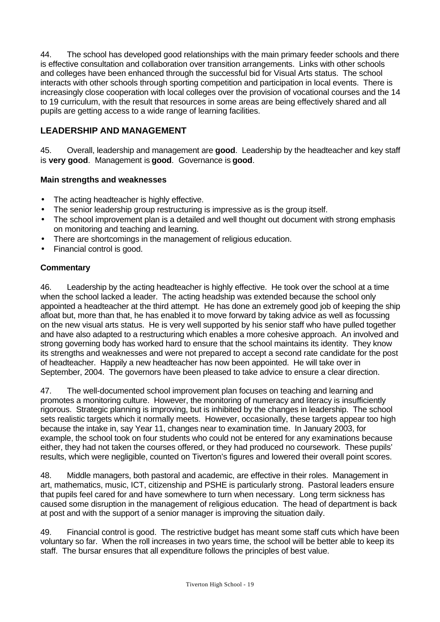44. The school has developed good relationships with the main primary feeder schools and there is effective consultation and collaboration over transition arrangements. Links with other schools and colleges have been enhanced through the successful bid for Visual Arts status. The school interacts with other schools through sporting competition and participation in local events. There is increasingly close cooperation with local colleges over the provision of vocational courses and the 14 to 19 curriculum, with the result that resources in some areas are being effectively shared and all pupils are getting access to a wide range of learning facilities.

## **LEADERSHIP AND MANAGEMENT**

45. Overall, leadership and management are **good**. Leadership by the headteacher and key staff is **very good**. Management is **good**. Governance is **good**.

#### **Main strengths and weaknesses**

- The acting headteacher is highly effective.
- The senior leadership group restructuring is impressive as is the group itself.
- The school improvement plan is a detailed and well thought out document with strong emphasis on monitoring and teaching and learning.
- There are shortcomings in the management of religious education.
- Financial control is good.

#### **Commentary**

46. Leadership by the acting headteacher is highly effective. He took over the school at a time when the school lacked a leader. The acting headship was extended because the school only appointed a headteacher at the third attempt. He has done an extremely good job of keeping the ship afloat but, more than that, he has enabled it to move forward by taking advice as well as focussing on the new visual arts status. He is very well supported by his senior staff who have pulled together and have also adapted to a restructuring which enables a more cohesive approach. An involved and strong governing body has worked hard to ensure that the school maintains its identity. They know its strengths and weaknesses and were not prepared to accept a second rate candidate for the post of headteacher. Happily a new headteacher has now been appointed. He will take over in September, 2004. The governors have been pleased to take advice to ensure a clear direction.

47. The well-documented school improvement plan focuses on teaching and learning and promotes a monitoring culture. However, the monitoring of numeracy and literacy is insufficiently rigorous. Strategic planning is improving, but is inhibited by the changes in leadership. The school sets realistic targets which it normally meets. However, occasionally, these targets appear too high because the intake in, say Year 11, changes near to examination time. In January 2003, for example, the school took on four students who could not be entered for any examinations because either, they had not taken the courses offered, or they had produced no coursework. These pupils' results, which were negligible, counted on Tiverton's figures and lowered their overall point scores.

48. Middle managers, both pastoral and academic, are effective in their roles. Management in art, mathematics, music, ICT, citizenship and PSHE is particularly strong. Pastoral leaders ensure that pupils feel cared for and have somewhere to turn when necessary. Long term sickness has caused some disruption in the management of religious education. The head of department is back at post and with the support of a senior manager is improving the situation daily.

49. Financial control is good. The restrictive budget has meant some staff cuts which have been voluntary so far. When the roll increases in two years time, the school will be better able to keep its staff. The bursar ensures that all expenditure follows the principles of best value.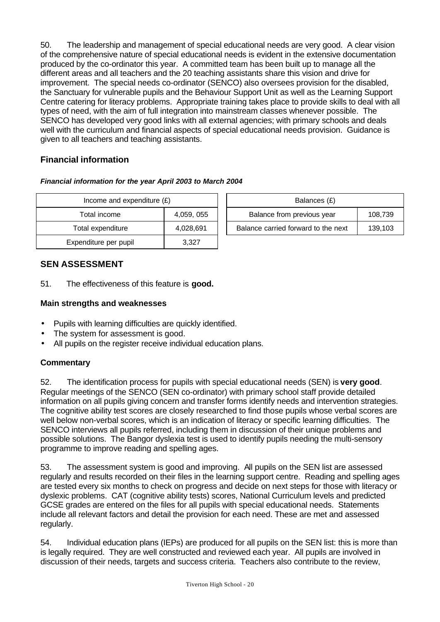50. The leadership and management of special educational needs are very good. A clear vision of the comprehensive nature of special educational needs is evident in the extensive documentation produced by the co-ordinator this year. A committed team has been built up to manage all the different areas and all teachers and the 20 teaching assistants share this vision and drive for improvement. The special needs co-ordinator (SENCO) also oversees provision for the disabled, the Sanctuary for vulnerable pupils and the Behaviour Support Unit as well as the Learning Support Centre catering for literacy problems. Appropriate training takes place to provide skills to deal with all types of need, with the aim of full integration into mainstream classes whenever possible. The SENCO has developed very good links with all external agencies; with primary schools and deals well with the curriculum and financial aspects of special educational needs provision. Guidance is given to all teachers and teaching assistants.

## **Financial information**

| Income and expenditure $(E)$ |            |  | Balances (£)                     |
|------------------------------|------------|--|----------------------------------|
| Total income                 | 4,059, 055 |  | Balance from previous year       |
| Total expenditure            | 4,028,691  |  | Balance carried forward to the i |
| Expenditure per pupil        | 3,327      |  |                                  |

| Financial information for the year April 2003 to March 2004 |  |  |  |
|-------------------------------------------------------------|--|--|--|
|                                                             |  |  |  |

| Income and expenditure $(E)$ |            |  | Balances (£)                        |         |  |  |
|------------------------------|------------|--|-------------------------------------|---------|--|--|
| Total income                 | 4,059, 055 |  | Balance from previous year          | 108,739 |  |  |
| Total expenditure            | 4,028,691  |  | Balance carried forward to the next | 139.103 |  |  |

#### **SEN ASSESSMENT**

51. The effectiveness of this feature is **good.**

#### **Main strengths and weaknesses**

- Pupils with learning difficulties are quickly identified.
- The system for assessment is good.
- All pupils on the register receive individual education plans.

#### **Commentary**

52. The identification process for pupils with special educational needs (SEN) is **very good**. Regular meetings of the SENCO (SEN co-ordinator) with primary school staff provide detailed information on all pupils giving concern and transfer forms identify needs and intervention strategies. The cognitive ability test scores are closely researched to find those pupils whose verbal scores are well below non-verbal scores, which is an indication of literacy or specific learning difficulties. The SENCO interviews all pupils referred, including them in discussion of their unique problems and possible solutions. The Bangor dyslexia test is used to identify pupils needing the multi-sensory programme to improve reading and spelling ages.

53. The assessment system is good and improving. All pupils on the SEN list are assessed regularly and results recorded on their files in the learning support centre. Reading and spelling ages are tested every six months to check on progress and decide on next steps for those with literacy or dyslexic problems. CAT (cognitive ability tests) scores, National Curriculum levels and predicted GCSE grades are entered on the files for all pupils with special educational needs. Statements include all relevant factors and detail the provision for each need. These are met and assessed regularly.

54. Individual education plans (IEPs) are produced for all pupils on the SEN list: this is more than is legally required. They are well constructed and reviewed each year. All pupils are involved in discussion of their needs, targets and success criteria. Teachers also contribute to the review,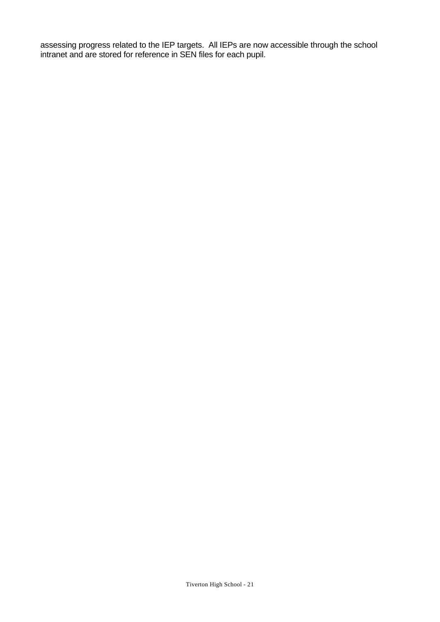assessing progress related to the IEP targets. All IEPs are now accessible through the school intranet and are stored for reference in SEN files for each pupil.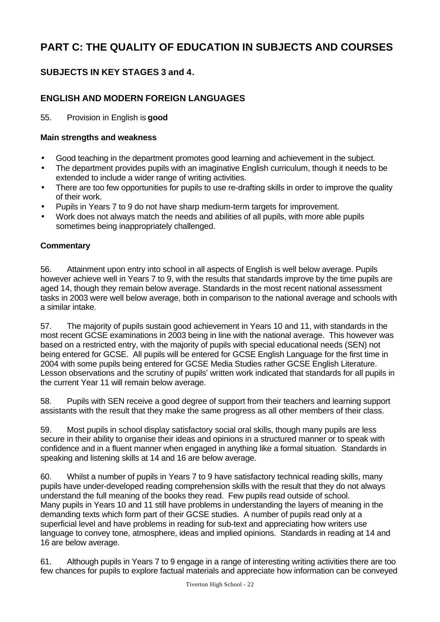# **PART C: THE QUALITY OF EDUCATION IN SUBJECTS AND COURSES**

## **SUBJECTS IN KEY STAGES 3 and 4.**

### **ENGLISH AND MODERN FOREIGN LANGUAGES**

55. Provision in English is **good**

#### **Main strengths and weakness**

- Good teaching in the department promotes good learning and achievement in the subject.
- The department provides pupils with an imaginative English curriculum, though it needs to be extended to include a wider range of writing activities.
- There are too few opportunities for pupils to use re-drafting skills in order to improve the quality of their work.
- Pupils in Years 7 to 9 do not have sharp medium-term targets for improvement.
- Work does not always match the needs and abilities of all pupils, with more able pupils sometimes being inappropriately challenged.

#### **Commentary**

56. Attainment upon entry into school in all aspects of English is well below average. Pupils however achieve well in Years 7 to 9, with the results that standards improve by the time pupils are aged 14, though they remain below average. Standards in the most recent national assessment tasks in 2003 were well below average, both in comparison to the national average and schools with a similar intake.

57. The majority of pupils sustain good achievement in Years 10 and 11, with standards in the most recent GCSE examinations in 2003 being in line with the national average. This however was based on a restricted entry, with the majority of pupils with special educational needs (SEN) not being entered for GCSE. All pupils will be entered for GCSE English Language for the first time in 2004 with some pupils being entered for GCSE Media Studies rather GCSE English Literature. Lesson observations and the scrutiny of pupils' written work indicated that standards for all pupils in the current Year 11 will remain below average.

58. Pupils with SEN receive a good degree of support from their teachers and learning support assistants with the result that they make the same progress as all other members of their class.

59. Most pupils in school display satisfactory social oral skills, though many pupils are less secure in their ability to organise their ideas and opinions in a structured manner or to speak with confidence and in a fluent manner when engaged in anything like a formal situation. Standards in speaking and listening skills at 14 and 16 are below average.

60. Whilst a number of pupils in Years 7 to 9 have satisfactory technical reading skills, many pupils have under-developed reading comprehension skills with the result that they do not always understand the full meaning of the books they read. Few pupils read outside of school. Many pupils in Years 10 and 11 still have problems in understanding the layers of meaning in the demanding texts which form part of their GCSE studies. A number of pupils read only at a superficial level and have problems in reading for sub-text and appreciating how writers use language to convey tone, atmosphere, ideas and implied opinions. Standards in reading at 14 and 16 are below average.

61. Although pupils in Years 7 to 9 engage in a range of interesting writing activities there are too few chances for pupils to explore factual materials and appreciate how information can be conveyed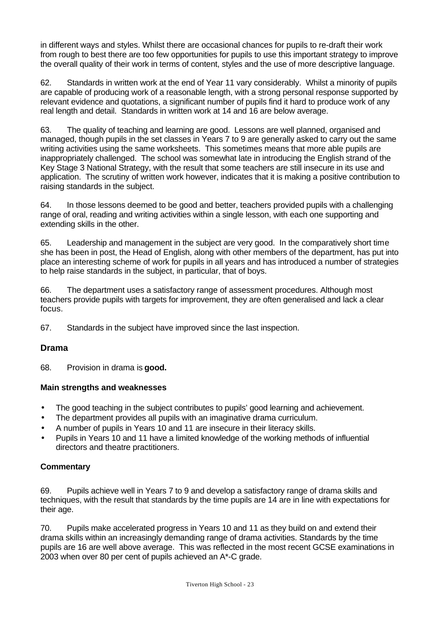in different ways and styles. Whilst there are occasional chances for pupils to re-draft their work from rough to best there are too few opportunities for pupils to use this important strategy to improve the overall quality of their work in terms of content, styles and the use of more descriptive language.

62. Standards in written work at the end of Year 11 vary considerably. Whilst a minority of pupils are capable of producing work of a reasonable length, with a strong personal response supported by relevant evidence and quotations, a significant number of pupils find it hard to produce work of any real length and detail. Standards in written work at 14 and 16 are below average.

63. The quality of teaching and learning are good. Lessons are well planned, organised and managed, though pupils in the set classes in Years 7 to 9 are generally asked to carry out the same writing activities using the same worksheets. This sometimes means that more able pupils are inappropriately challenged. The school was somewhat late in introducing the English strand of the Key Stage 3 National Strategy, with the result that some teachers are still insecure in its use and application. The scrutiny of written work however, indicates that it is making a positive contribution to raising standards in the subject.

64. In those lessons deemed to be good and better, teachers provided pupils with a challenging range of oral, reading and writing activities within a single lesson, with each one supporting and extending skills in the other.

65. Leadership and management in the subject are very good. In the comparatively short time she has been in post, the Head of English, along with other members of the department, has put into place an interesting scheme of work for pupils in all years and has introduced a number of strategies to help raise standards in the subject, in particular, that of boys.

66. The department uses a satisfactory range of assessment procedures. Although most teachers provide pupils with targets for improvement, they are often generalised and lack a clear focus.

67. Standards in the subject have improved since the last inspection.

#### **Drama**

68. Provision in drama is **good.**

#### **Main strengths and weaknesses**

- The good teaching in the subject contributes to pupils' good learning and achievement.
- The department provides all pupils with an imaginative drama curriculum.
- A number of pupils in Years 10 and 11 are insecure in their literacy skills.
- Pupils in Years 10 and 11 have a limited knowledge of the working methods of influential directors and theatre practitioners.

#### **Commentary**

69. Pupils achieve well in Years 7 to 9 and develop a satisfactory range of drama skills and techniques, with the result that standards by the time pupils are 14 are in line with expectations for their age.

70. Pupils make accelerated progress in Years 10 and 11 as they build on and extend their drama skills within an increasingly demanding range of drama activities. Standards by the time pupils are 16 are well above average. This was reflected in the most recent GCSE examinations in 2003 when over 80 per cent of pupils achieved an A\*-C grade.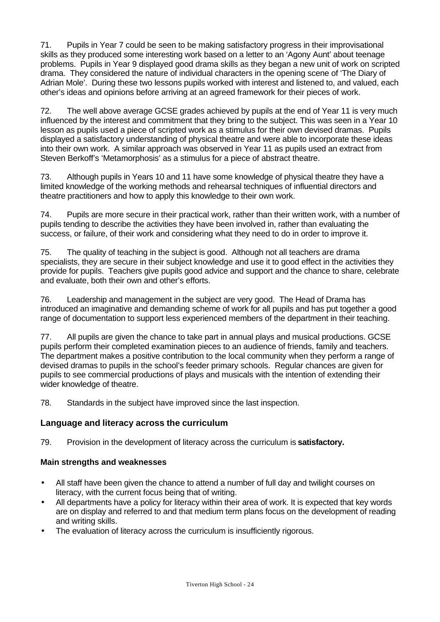71. Pupils in Year 7 could be seen to be making satisfactory progress in their improvisational skills as they produced some interesting work based on a letter to an 'Agony Aunt' about teenage problems. Pupils in Year 9 displayed good drama skills as they began a new unit of work on scripted drama. They considered the nature of individual characters in the opening scene of 'The Diary of Adrian Mole'. During these two lessons pupils worked with interest and listened to, and valued, each other's ideas and opinions before arriving at an agreed framework for their pieces of work.

72. The well above average GCSE grades achieved by pupils at the end of Year 11 is very much influenced by the interest and commitment that they bring to the subject. This was seen in a Year 10 lesson as pupils used a piece of scripted work as a stimulus for their own devised dramas. Pupils displayed a satisfactory understanding of physical theatre and were able to incorporate these ideas into their own work. A similar approach was observed in Year 11 as pupils used an extract from Steven Berkoff's 'Metamorphosis' as a stimulus for a piece of abstract theatre.

73. Although pupils in Years 10 and 11 have some knowledge of physical theatre they have a limited knowledge of the working methods and rehearsal techniques of influential directors and theatre practitioners and how to apply this knowledge to their own work.

74. Pupils are more secure in their practical work, rather than their written work, with a number of pupils tending to describe the activities they have been involved in, rather than evaluating the success, or failure, of their work and considering what they need to do in order to improve it.

75. The quality of teaching in the subject is good. Although not all teachers are drama specialists, they are secure in their subject knowledge and use it to good effect in the activities they provide for pupils. Teachers give pupils good advice and support and the chance to share, celebrate and evaluate, both their own and other's efforts.

76. Leadership and management in the subject are very good. The Head of Drama has introduced an imaginative and demanding scheme of work for all pupils and has put together a good range of documentation to support less experienced members of the department in their teaching.

77. All pupils are given the chance to take part in annual plays and musical productions. GCSE pupils perform their completed examination pieces to an audience of friends, family and teachers. The department makes a positive contribution to the local community when they perform a range of devised dramas to pupils in the school's feeder primary schools. Regular chances are given for pupils to see commercial productions of plays and musicals with the intention of extending their wider knowledge of theatre.

78. Standards in the subject have improved since the last inspection.

## **Language and literacy across the curriculum**

79. Provision in the development of literacy across the curriculum is **satisfactory.**

#### **Main strengths and weaknesses**

- All staff have been given the chance to attend a number of full day and twilight courses on literacy, with the current focus being that of writing.
- All departments have a policy for literacy within their area of work. It is expected that key words are on display and referred to and that medium term plans focus on the development of reading and writing skills.
- The evaluation of literacy across the curriculum is insufficiently rigorous.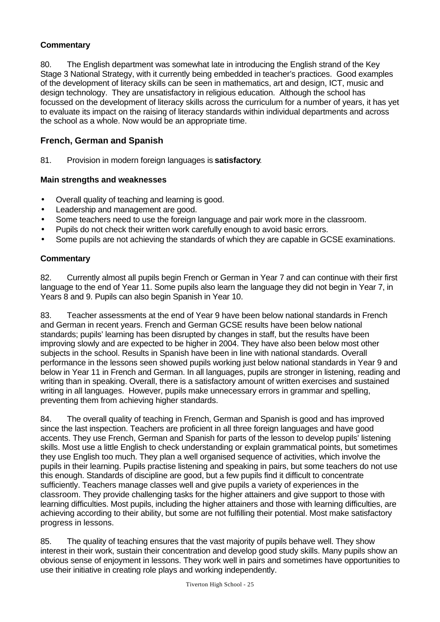### **Commentary**

80. The English department was somewhat late in introducing the English strand of the Key Stage 3 National Strategy, with it currently being embedded in teacher's practices. Good examples of the development of literacy skills can be seen in mathematics, art and design, ICT, music and design technology. They are unsatisfactory in religious education. Although the school has focussed on the development of literacy skills across the curriculum for a number of years, it has yet to evaluate its impact on the raising of literacy standards within individual departments and across the school as a whole. Now would be an appropriate time.

## **French, German and Spanish**

81. Provision in modern foreign languages is **satisfactory**.

#### **Main strengths and weaknesses**

- Overall quality of teaching and learning is good.
- Leadership and management are good.
- Some teachers need to use the foreign language and pair work more in the classroom.
- Pupils do not check their written work carefully enough to avoid basic errors.
- Some pupils are not achieving the standards of which they are capable in GCSE examinations.

#### **Commentary**

82. Currently almost all pupils begin French or German in Year 7 and can continue with their first language to the end of Year 11. Some pupils also learn the language they did not begin in Year 7, in Years 8 and 9. Pupils can also begin Spanish in Year 10.

83. Teacher assessments at the end of Year 9 have been below national standards in French and German in recent years. French and German GCSE results have been below national standards; pupils' learning has been disrupted by changes in staff, but the results have been improving slowly and are expected to be higher in 2004. They have also been below most other subjects in the school. Results in Spanish have been in line with national standards. Overall performance in the lessons seen showed pupils working just below national standards in Year 9 and below in Year 11 in French and German. In all languages, pupils are stronger in listening, reading and writing than in speaking. Overall, there is a satisfactory amount of written exercises and sustained writing in all languages. However, pupils make unnecessary errors in grammar and spelling, preventing them from achieving higher standards.

84. The overall quality of teaching in French, German and Spanish is good and has improved since the last inspection. Teachers are proficient in all three foreign languages and have good accents. They use French, German and Spanish for parts of the lesson to develop pupils' listening skills. Most use a little English to check understanding or explain grammatical points, but sometimes they use English too much. They plan a well organised sequence of activities, which involve the pupils in their learning. Pupils practise listening and speaking in pairs, but some teachers do not use this enough. Standards of discipline are good, but a few pupils find it difficult to concentrate sufficiently. Teachers manage classes well and give pupils a variety of experiences in the classroom. They provide challenging tasks for the higher attainers and give support to those with learning difficulties. Most pupils, including the higher attainers and those with learning difficulties, are achieving according to their ability, but some are not fulfilling their potential. Most make satisfactory progress in lessons.

85. The quality of teaching ensures that the vast majority of pupils behave well. They show interest in their work, sustain their concentration and develop good study skills. Many pupils show an obvious sense of enjoyment in lessons. They work well in pairs and sometimes have opportunities to use their initiative in creating role plays and working independently.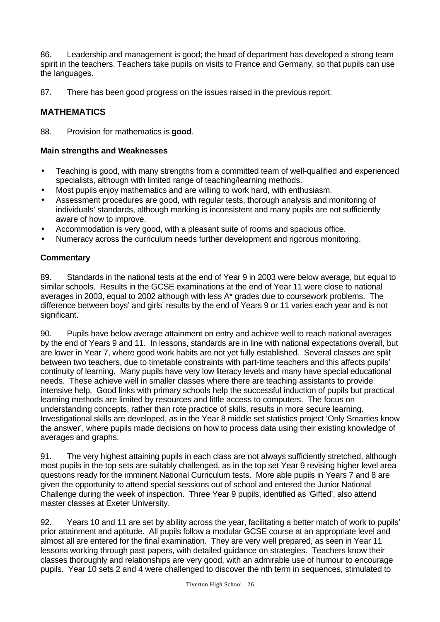86. Leadership and management is good; the head of department has developed a strong team spirit in the teachers. Teachers take pupils on visits to France and Germany, so that pupils can use the languages.

87. There has been good progress on the issues raised in the previous report.

## **MATHEMATICS**

88. Provision for mathematics is **good**.

#### **Main strengths and Weaknesses**

- Teaching is good, with many strengths from a committed team of well-qualified and experienced specialists, although with limited range of teaching/learning methods.
- Most pupils enjoy mathematics and are willing to work hard, with enthusiasm.
- Assessment procedures are good, with regular tests, thorough analysis and monitoring of individuals' standards, although marking is inconsistent and many pupils are not sufficiently aware of how to improve.
- Accommodation is very good, with a pleasant suite of rooms and spacious office.
- Numeracy across the curriculum needs further development and rigorous monitoring.

#### **Commentary**

89. Standards in the national tests at the end of Year 9 in 2003 were below average, but equal to similar schools. Results in the GCSE examinations at the end of Year 11 were close to national averages in 2003, equal to 2002 although with less A\* grades due to coursework problems. The difference between boys' and girls' results by the end of Years 9 or 11 varies each year and is not significant.

90. Pupils have below average attainment on entry and achieve well to reach national averages by the end of Years 9 and 11. In lessons, standards are in line with national expectations overall, but are lower in Year 7, where good work habits are not yet fully established. Several classes are split between two teachers, due to timetable constraints with part-time teachers and this affects pupils' continuity of learning. Many pupils have very low literacy levels and many have special educational needs. These achieve well in smaller classes where there are teaching assistants to provide intensive help. Good links with primary schools help the successful induction of pupils but practical learning methods are limited by resources and little access to computers. The focus on understanding concepts, rather than rote practice of skills, results in more secure learning. Investigational skills are developed, as in the Year 8 middle set statistics project 'Only Smarties know the answer', where pupils made decisions on how to process data using their existing knowledge of averages and graphs.

91. The very highest attaining pupils in each class are not always sufficiently stretched, although most pupils in the top sets are suitably challenged, as in the top set Year 9 revising higher level area questions ready for the imminent National Curriculum tests. More able pupils in Years 7 and 8 are given the opportunity to attend special sessions out of school and entered the Junior National Challenge during the week of inspection. Three Year 9 pupils, identified as 'Gifted', also attend master classes at Exeter University.

92. Years 10 and 11 are set by ability across the year, facilitating a better match of work to pupils' prior attainment and aptitude. All pupils follow a modular GCSE course at an appropriate level and almost all are entered for the final examination. They are very well prepared, as seen in Year 11 lessons working through past papers, with detailed guidance on strategies. Teachers know their classes thoroughly and relationships are very good, with an admirable use of humour to encourage pupils. Year 10 sets 2 and 4 were challenged to discover the nth term in sequences, stimulated to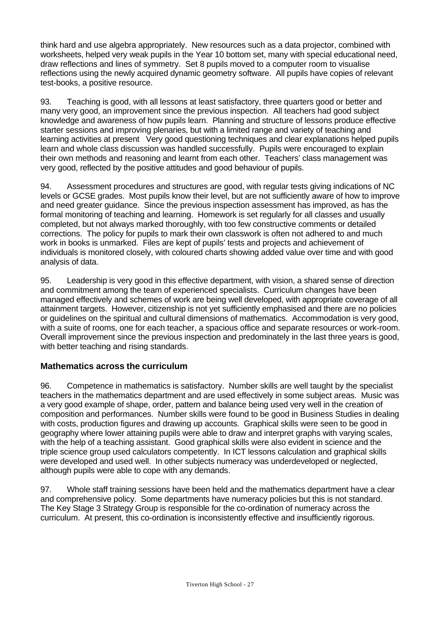think hard and use algebra appropriately. New resources such as a data projector, combined with worksheets, helped very weak pupils in the Year 10 bottom set, many with special educational need, draw reflections and lines of symmetry. Set 8 pupils moved to a computer room to visualise reflections using the newly acquired dynamic geometry software. All pupils have copies of relevant test-books, a positive resource.

93. Teaching is good, with all lessons at least satisfactory, three quarters good or better and many very good, an improvement since the previous inspection. All teachers had good subject knowledge and awareness of how pupils learn. Planning and structure of lessons produce effective starter sessions and improving plenaries, but with a limited range and variety of teaching and learning activities at present Very good questioning techniques and clear explanations helped pupils learn and whole class discussion was handled successfully. Pupils were encouraged to explain their own methods and reasoning and learnt from each other. Teachers' class management was very good, reflected by the positive attitudes and good behaviour of pupils.

94. Assessment procedures and structures are good, with regular tests giving indications of NC levels or GCSE grades. Most pupils know their level, but are not sufficiently aware of how to improve and need greater guidance. Since the previous inspection assessment has improved, as has the formal monitoring of teaching and learning. Homework is set regularly for all classes and usually completed, but not always marked thoroughly, with too few constructive comments or detailed corrections. The policy for pupils to mark their own classwork is often not adhered to and much work in books is unmarked. Files are kept of pupils' tests and projects and achievement of individuals is monitored closely, with coloured charts showing added value over time and with good analysis of data.

95. Leadership is very good in this effective department, with vision, a shared sense of direction and commitment among the team of experienced specialists. Curriculum changes have been managed effectively and schemes of work are being well developed, with appropriate coverage of all attainment targets. However, citizenship is not yet sufficiently emphasised and there are no policies or guidelines on the spiritual and cultural dimensions of mathematics. Accommodation is very good, with a suite of rooms, one for each teacher, a spacious office and separate resources or work-room. Overall improvement since the previous inspection and predominately in the last three years is good, with better teaching and rising standards.

## **Mathematics across the curriculum**

96. Competence in mathematics is satisfactory. Number skills are well taught by the specialist teachers in the mathematics department and are used effectively in some subject areas. Music was a very good example of shape, order, pattern and balance being used very well in the creation of composition and performances. Number skills were found to be good in Business Studies in dealing with costs, production figures and drawing up accounts. Graphical skills were seen to be good in geography where lower attaining pupils were able to draw and interpret graphs with varying scales, with the help of a teaching assistant. Good graphical skills were also evident in science and the triple science group used calculators competently. In ICT lessons calculation and graphical skills were developed and used well. In other subjects numeracy was underdeveloped or neglected, although pupils were able to cope with any demands.

97. Whole staff training sessions have been held and the mathematics department have a clear and comprehensive policy. Some departments have numeracy policies but this is not standard. The Key Stage 3 Strategy Group is responsible for the co-ordination of numeracy across the curriculum. At present, this co-ordination is inconsistently effective and insufficiently rigorous.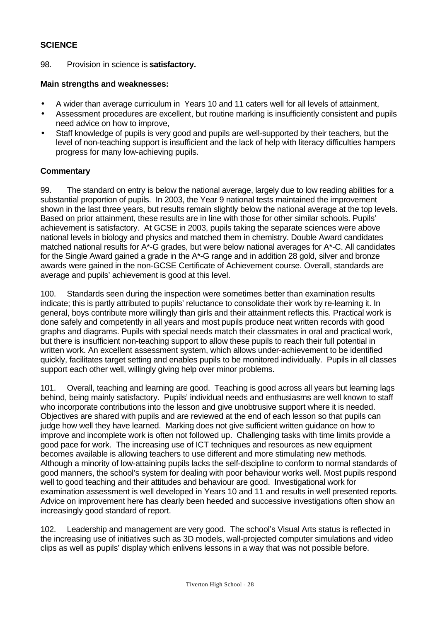#### **SCIENCE**

98. Provision in science is **satisfactory.**

#### **Main strengths and weaknesses:**

- A wider than average curriculum in Years 10 and 11 caters well for all levels of attainment,
- Assessment procedures are excellent, but routine marking is insufficiently consistent and pupils need advice on how to improve,
- Staff knowledge of pupils is very good and pupils are well-supported by their teachers, but the level of non-teaching support is insufficient and the lack of help with literacy difficulties hampers progress for many low-achieving pupils.

#### **Commentary**

99. The standard on entry is below the national average, largely due to low reading abilities for a substantial proportion of pupils. In 2003, the Year 9 national tests maintained the improvement shown in the last three years, but results remain slightly below the national average at the top levels. Based on prior attainment, these results are in line with those for other similar schools. Pupils' achievement is satisfactory. At GCSE in 2003, pupils taking the separate sciences were above national levels in biology and physics and matched them in chemistry. Double Award candidates matched national results for A\*-G grades, but were below national averages for A\*-C. All candidates for the Single Award gained a grade in the A\*-G range and in addition 28 gold, silver and bronze awards were gained in the non-GCSE Certificate of Achievement course. Overall, standards are average and pupils' achievement is good at this level.

100. Standards seen during the inspection were sometimes better than examination results indicate; this is partly attributed to pupils' reluctance to consolidate their work by re-learning it. In general, boys contribute more willingly than girls and their attainment reflects this. Practical work is done safely and competently in all years and most pupils produce neat written records with good graphs and diagrams. Pupils with special needs match their classmates in oral and practical work, but there is insufficient non-teaching support to allow these pupils to reach their full potential in written work. An excellent assessment system, which allows under-achievement to be identified quickly, facilitates target setting and enables pupils to be monitored individually. Pupils in all classes support each other well, willingly giving help over minor problems.

101. Overall, teaching and learning are good. Teaching is good across all years but learning lags behind, being mainly satisfactory. Pupils' individual needs and enthusiasms are well known to staff who incorporate contributions into the lesson and give unobtrusive support where it is needed. Objectives are shared with pupils and are reviewed at the end of each lesson so that pupils can judge how well they have learned. Marking does not give sufficient written guidance on how to improve and incomplete work is often not followed up. Challenging tasks with time limits provide a good pace for work. The increasing use of ICT techniques and resources as new equipment becomes available is allowing teachers to use different and more stimulating new methods. Although a minority of low-attaining pupils lacks the self-discipline to conform to normal standards of good manners, the school's system for dealing with poor behaviour works well. Most pupils respond well to good teaching and their attitudes and behaviour are good. Investigational work for examination assessment is well developed in Years 10 and 11 and results in well presented reports. Advice on improvement here has clearly been heeded and successive investigations often show an increasingly good standard of report.

102. Leadership and management are very good. The school's Visual Arts status is reflected in the increasing use of initiatives such as 3D models, wall-projected computer simulations and video clips as well as pupils' display which enlivens lessons in a way that was not possible before.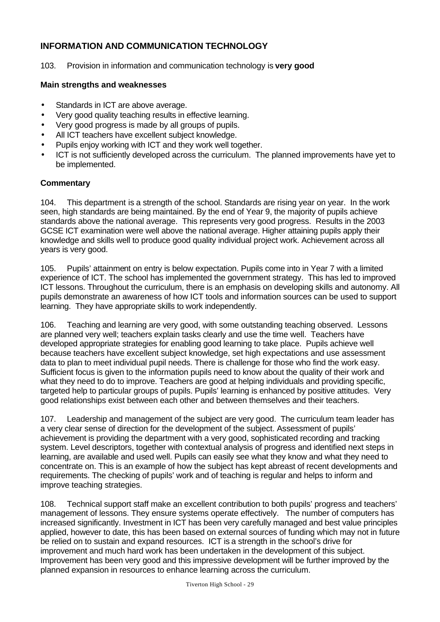## **INFORMATION AND COMMUNICATION TECHNOLOGY**

103. Provision in information and communication technology is **very good**

#### **Main strengths and weaknesses**

- Standards in ICT are above average.
- Very good quality teaching results in effective learning.
- Very good progress is made by all groups of pupils.
- All ICT teachers have excellent subject knowledge.
- Pupils enjoy working with ICT and they work well together.
- ICT is not sufficiently developed across the curriculum. The planned improvements have yet to be implemented.

#### **Commentary**

104. This department is a strength of the school. Standards are rising year on year. In the work seen, high standards are being maintained. By the end of Year 9, the majority of pupils achieve standards above the national average. This represents very good progress. Results in the 2003 GCSE ICT examination were well above the national average. Higher attaining pupils apply their knowledge and skills well to produce good quality individual project work. Achievement across all years is very good.

105. Pupils' attainment on entry is below expectation. Pupils come into in Year 7 with a limited experience of ICT. The school has implemented the government strategy. This has led to improved ICT lessons. Throughout the curriculum, there is an emphasis on developing skills and autonomy. All pupils demonstrate an awareness of how ICT tools and information sources can be used to support learning. They have appropriate skills to work independently.

106. Teaching and learning are very good, with some outstanding teaching observed. Lessons are planned very well; teachers explain tasks clearly and use the time well. Teachers have developed appropriate strategies for enabling good learning to take place. Pupils achieve well because teachers have excellent subject knowledge, set high expectations and use assessment data to plan to meet individual pupil needs. There is challenge for those who find the work easy. Sufficient focus is given to the information pupils need to know about the quality of their work and what they need to do to improve. Teachers are good at helping individuals and providing specific, targeted help to particular groups of pupils. Pupils' learning is enhanced by positive attitudes. Very good relationships exist between each other and between themselves and their teachers.

107. Leadership and management of the subject are very good. The curriculum team leader has a very clear sense of direction for the development of the subject. Assessment of pupils' achievement is providing the department with a very good, sophisticated recording and tracking system. Level descriptors, together with contextual analysis of progress and identified next steps in learning, are available and used well. Pupils can easily see what they know and what they need to concentrate on. This is an example of how the subject has kept abreast of recent developments and requirements. The checking of pupils' work and of teaching is regular and helps to inform and improve teaching strategies.

108. Technical support staff make an excellent contribution to both pupils' progress and teachers' management of lessons. They ensure systems operate effectively. The number of computers has increased significantly. Investment in ICT has been very carefully managed and best value principles applied, however to date, this has been based on external sources of funding which may not in future be relied on to sustain and expand resources. ICT is a strength in the school's drive for improvement and much hard work has been undertaken in the development of this subject. Improvement has been very good and this impressive development will be further improved by the planned expansion in resources to enhance learning across the curriculum.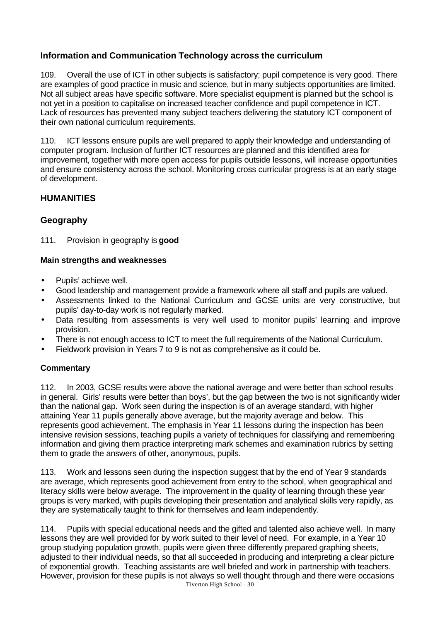## **Information and Communication Technology across the curriculum**

109. Overall the use of ICT in other subjects is satisfactory; pupil competence is very good. There are examples of good practice in music and science, but in many subjects opportunities are limited. Not all subject areas have specific software. More specialist equipment is planned but the school is not yet in a position to capitalise on increased teacher confidence and pupil competence in ICT. Lack of resources has prevented many subject teachers delivering the statutory ICT component of their own national curriculum requirements.

110. ICT lessons ensure pupils are well prepared to apply their knowledge and understanding of computer program. Inclusion of further ICT resources are planned and this identified area for improvement, together with more open access for pupils outside lessons, will increase opportunities and ensure consistency across the school. Monitoring cross curricular progress is at an early stage of development.

## **HUMANITIES**

#### **Geography**

111. Provision in geography is **good**

#### **Main strengths and weaknesses**

- Pupils' achieve well.
- Good leadership and management provide a framework where all staff and pupils are valued.
- Assessments linked to the National Curriculum and GCSE units are very constructive, but pupils' day-to-day work is not regularly marked.
- Data resulting from assessments is very well used to monitor pupils' learning and improve provision.
- There is not enough access to ICT to meet the full requirements of the National Curriculum.
- Fieldwork provision in Years 7 to 9 is not as comprehensive as it could be.

#### **Commentary**

112. In 2003, GCSE results were above the national average and were better than school results in general. Girls' results were better than boys', but the gap between the two is not significantly wider than the national gap. Work seen during the inspection is of an average standard, with higher attaining Year 11 pupils generally above average, but the majority average and below. This represents good achievement. The emphasis in Year 11 lessons during the inspection has been intensive revision sessions, teaching pupils a variety of techniques for classifying and remembering information and giving them practice interpreting mark schemes and examination rubrics by setting them to grade the answers of other, anonymous, pupils.

113. Work and lessons seen during the inspection suggest that by the end of Year 9 standards are average, which represents good achievement from entry to the school, when geographical and literacy skills were below average. The improvement in the quality of learning through these year groups is very marked, with pupils developing their presentation and analytical skills very rapidly, as they are systematically taught to think for themselves and learn independently.

Tiverton High School - 30 114. Pupils with special educational needs and the gifted and talented also achieve well. In many lessons they are well provided for by work suited to their level of need. For example, in a Year 10 group studying population growth, pupils were given three differently prepared graphing sheets, adjusted to their individual needs, so that all succeeded in producing and interpreting a clear picture of exponential growth. Teaching assistants are well briefed and work in partnership with teachers. However, provision for these pupils is not always so well thought through and there were occasions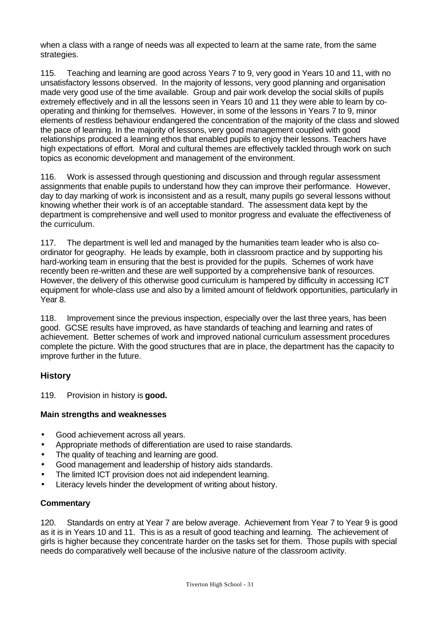when a class with a range of needs was all expected to learn at the same rate, from the same strategies.

115. Teaching and learning are good across Years 7 to 9, very good in Years 10 and 11, with no unsatisfactory lessons observed. In the majority of lessons, very good planning and organisation made very good use of the time available. Group and pair work develop the social skills of pupils extremely effectively and in all the lessons seen in Years 10 and 11 they were able to learn by cooperating and thinking for themselves. However, in some of the lessons in Years 7 to 9, minor elements of restless behaviour endangered the concentration of the majority of the class and slowed the pace of learning. In the majority of lessons, very good management coupled with good relationships produced a learning ethos that enabled pupils to enjoy their lessons. Teachers have high expectations of effort. Moral and cultural themes are effectively tackled through work on such topics as economic development and management of the environment.

116. Work is assessed through questioning and discussion and through regular assessment assignments that enable pupils to understand how they can improve their performance. However, day to day marking of work is inconsistent and as a result, many pupils go several lessons without knowing whether their work is of an acceptable standard. The assessment data kept by the department is comprehensive and well used to monitor progress and evaluate the effectiveness of the curriculum.

117. The department is well led and managed by the humanities team leader who is also coordinator for geography. He leads by example, both in classroom practice and by supporting his hard-working team in ensuring that the best is provided for the pupils. Schemes of work have recently been re-written and these are well supported by a comprehensive bank of resources. However, the delivery of this otherwise good curriculum is hampered by difficulty in accessing ICT equipment for whole-class use and also by a limited amount of fieldwork opportunities, particularly in Year 8.

118. Improvement since the previous inspection, especially over the last three years, has been good. GCSE results have improved, as have standards of teaching and learning and rates of achievement. Better schemes of work and improved national curriculum assessment procedures complete the picture. With the good structures that are in place, the department has the capacity to improve further in the future.

#### **History**

119. Provision in history is **good.**

#### **Main strengths and weaknesses**

- Good achievement across all years.
- Appropriate methods of differentiation are used to raise standards.
- The quality of teaching and learning are good.
- Good management and leadership of history aids standards.
- The limited ICT provision does not aid independent learning.
- Literacy levels hinder the development of writing about history.

#### **Commentary**

120. Standards on entry at Year 7 are below average. Achievement from Year 7 to Year 9 is good as it is in Years 10 and 11. This is as a result of good teaching and learning. The achievement of girls is higher because they concentrate harder on the tasks set for them. Those pupils with special needs do comparatively well because of the inclusive nature of the classroom activity.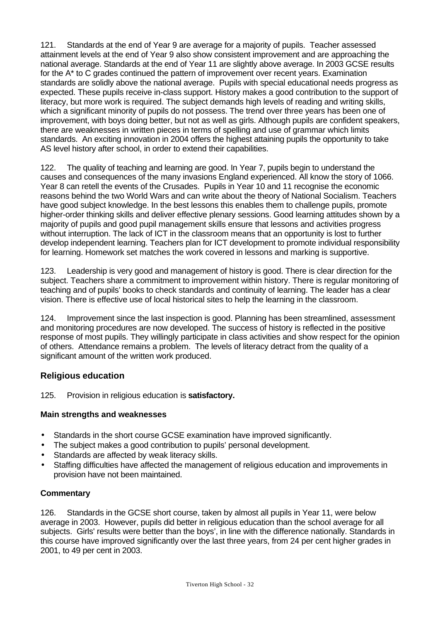121. Standards at the end of Year 9 are average for a majority of pupils. Teacher assessed attainment levels at the end of Year 9 also show consistent improvement and are approaching the national average. Standards at the end of Year 11 are slightly above average. In 2003 GCSE results for the A\* to C grades continued the pattern of improvement over recent years. Examination standards are solidly above the national average. Pupils with special educational needs progress as expected. These pupils receive in-class support. History makes a good contribution to the support of literacy, but more work is required. The subject demands high levels of reading and writing skills, which a significant minority of pupils do not possess. The trend over three years has been one of improvement, with boys doing better, but not as well as girls. Although pupils are confident speakers, there are weaknesses in written pieces in terms of spelling and use of grammar which limits standards. An exciting innovation in 2004 offers the highest attaining pupils the opportunity to take AS level history after school, in order to extend their capabilities.

122. The quality of teaching and learning are good. In Year 7, pupils begin to understand the causes and consequences of the many invasions England experienced. All know the story of 1066. Year 8 can retell the events of the Crusades. Pupils in Year 10 and 11 recognise the economic reasons behind the two World Wars and can write about the theory of National Socialism. Teachers have good subject knowledge. In the best lessons this enables them to challenge pupils, promote higher-order thinking skills and deliver effective plenary sessions. Good learning attitudes shown by a majority of pupils and good pupil management skills ensure that lessons and activities progress without interruption. The lack of ICT in the classroom means that an opportunity is lost to further develop independent learning. Teachers plan for ICT development to promote individual responsibility for learning. Homework set matches the work covered in lessons and marking is supportive.

123. Leadership is very good and management of history is good. There is clear direction for the subject. Teachers share a commitment to improvement within history. There is regular monitoring of teaching and of pupils' books to check standards and continuity of learning. The leader has a clear vision. There is effective use of local historical sites to help the learning in the classroom.

124. Improvement since the last inspection is good. Planning has been streamlined, assessment and monitoring procedures are now developed. The success of history is reflected in the positive response of most pupils. They willingly participate in class activities and show respect for the opinion of others. Attendance remains a problem. The levels of literacy detract from the quality of a significant amount of the written work produced.

## **Religious education**

125. Provision in religious education is **satisfactory.**

#### **Main strengths and weaknesses**

- Standards in the short course GCSE examination have improved significantly.
- The subject makes a good contribution to pupils' personal development.
- Standards are affected by weak literacy skills.
- Staffing difficulties have affected the management of religious education and improvements in provision have not been maintained.

#### **Commentary**

126. Standards in the GCSE short course, taken by almost all pupils in Year 11, were below average in 2003. However, pupils did better in religious education than the school average for all subjects. Girls' results were better than the boys', in line with the difference nationally. Standards in this course have improved significantly over the last three years, from 24 per cent higher grades in 2001, to 49 per cent in 2003.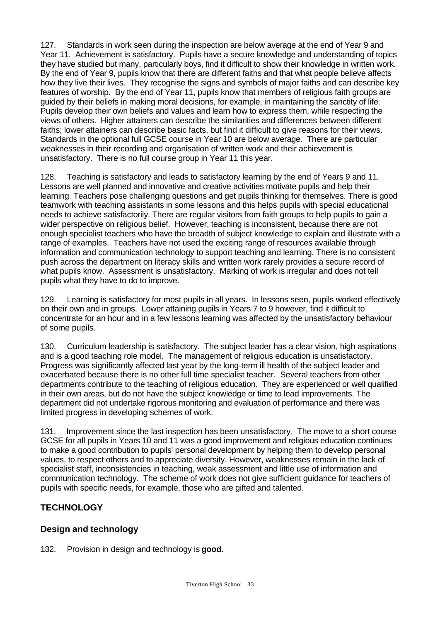127. Standards in work seen during the inspection are below average at the end of Year 9 and Year 11. Achievement is satisfactory. Pupils have a secure knowledge and understanding of topics they have studied but many, particularly boys, find it difficult to show their knowledge in written work. By the end of Year 9, pupils know that there are different faiths and that what people believe affects how they live their lives. They recognise the signs and symbols of major faiths and can describe key features of worship. By the end of Year 11, pupils know that members of religious faith groups are guided by their beliefs in making moral decisions, for example, in maintaining the sanctity of life. Pupils develop their own beliefs and values and learn how to express them, while respecting the views of others. Higher attainers can describe the similarities and differences between different faiths; lower attainers can describe basic facts, but find it difficult to give reasons for their views. Standards in the optional full GCSE course in Year 10 are below average. There are particular weaknesses in their recording and organisation of written work and their achievement is unsatisfactory. There is no full course group in Year 11 this year.

128. Teaching is satisfactory and leads to satisfactory learning by the end of Years 9 and 11. Lessons are well planned and innovative and creative activities motivate pupils and help their learning. Teachers pose challenging questions and get pupils thinking for themselves. There is good teamwork with teaching assistants in some lessons and this helps pupils with special educational needs to achieve satisfactorily. There are regular visitors from faith groups to help pupils to gain a wider perspective on religious belief. However, teaching is inconsistent, because there are not enough specialist teachers who have the breadth of subject knowledge to explain and illustrate with a range of examples. Teachers have not used the exciting range of resources available through information and communication technology to support teaching and learning. There is no consistent push across the department on literacy skills and written work rarely provides a secure record of what pupils know. Assessment is unsatisfactory. Marking of work is irregular and does not tell pupils what they have to do to improve.

129. Learning is satisfactory for most pupils in all years. In lessons seen, pupils worked effectively on their own and in groups. Lower attaining pupils in Years 7 to 9 however, find it difficult to concentrate for an hour and in a few lessons learning was affected by the unsatisfactory behaviour of some pupils.

130. Curriculum leadership is satisfactory. The subject leader has a clear vision, high aspirations and is a good teaching role model. The management of religious education is unsatisfactory. Progress was significantly affected last year by the long-term ill health of the subject leader and exacerbated because there is no other full time specialist teacher. Several teachers from other departments contribute to the teaching of religious education. They are experienced or well qualified in their own areas, but do not have the subject knowledge or time to lead improvements. The department did not undertake rigorous monitoring and evaluation of performance and there was limited progress in developing schemes of work.

131. Improvement since the last inspection has been unsatisfactory. The move to a short course GCSE for all pupils in Years 10 and 11 was a good improvement and religious education continues to make a good contribution to pupils' personal development by helping them to develop personal values, to respect others and to appreciate diversity. However, weaknesses remain in the lack of specialist staff, inconsistencies in teaching, weak assessment and little use of information and communication technology. The scheme of work does not give sufficient guidance for teachers of pupils with specific needs, for example, those who are gifted and talented.

## **TECHNOLOGY**

## **Design and technology**

132. Provision in design and technology is **good.**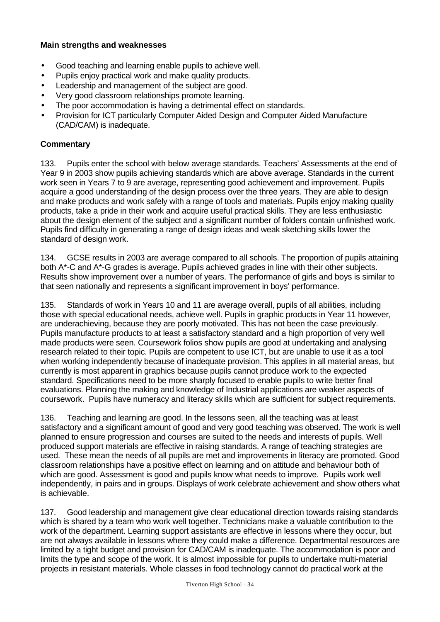#### **Main strengths and weaknesses**

- Good teaching and learning enable pupils to achieve well.
- Pupils enjoy practical work and make quality products.
- Leadership and management of the subject are good.
- Very good classroom relationships promote learning.
- The poor accommodation is having a detrimental effect on standards.
- Provision for ICT particularly Computer Aided Design and Computer Aided Manufacture (CAD/CAM) is inadequate.

#### **Commentary**

133. Pupils enter the school with below average standards. Teachers' Assessments at the end of Year 9 in 2003 show pupils achieving standards which are above average. Standards in the current work seen in Years 7 to 9 are average, representing good achievement and improvement. Pupils acquire a good understanding of the design process over the three years. They are able to design and make products and work safely with a range of tools and materials. Pupils enjoy making quality products, take a pride in their work and acquire useful practical skills. They are less enthusiastic about the design element of the subject and a significant number of folders contain unfinished work. Pupils find difficulty in generating a range of design ideas and weak sketching skills lower the standard of design work.

134. GCSE results in 2003 are average compared to all schools. The proportion of pupils attaining both A\*-C and A\*-G grades is average. Pupils achieved grades in line with their other subjects. Results show improvement over a number of years. The performance of girls and boys is similar to that seen nationally and represents a significant improvement in boys' performance.

135. Standards of work in Years 10 and 11 are average overall, pupils of all abilities, including those with special educational needs, achieve well. Pupils in graphic products in Year 11 however, are underachieving, because they are poorly motivated. This has not been the case previously. Pupils manufacture products to at least a satisfactory standard and a high proportion of very well made products were seen. Coursework folios show pupils are good at undertaking and analysing research related to their topic. Pupils are competent to use ICT, but are unable to use it as a tool when working independently because of inadequate provision. This applies in all material areas, but currently is most apparent in graphics because pupils cannot produce work to the expected standard. Specifications need to be more sharply focused to enable pupils to write better final evaluations. Planning the making and knowledge of Industrial applications are weaker aspects of coursework. Pupils have numeracy and literacy skills which are sufficient for subject requirements.

136. Teaching and learning are good. In the lessons seen, all the teaching was at least satisfactory and a significant amount of good and very good teaching was observed. The work is well planned to ensure progression and courses are suited to the needs and interests of pupils. Well produced support materials are effective in raising standards. A range of teaching strategies are used. These mean the needs of all pupils are met and improvements in literacy are promoted. Good classroom relationships have a positive effect on learning and on attitude and behaviour both of which are good. Assessment is good and pupils know what needs to improve. Pupils work well independently, in pairs and in groups. Displays of work celebrate achievement and show others what is achievable.

137. Good leadership and management give clear educational direction towards raising standards which is shared by a team who work well together. Technicians make a valuable contribution to the work of the department. Learning support assistants are effective in lessons where they occur, but are not always available in lessons where they could make a difference. Departmental resources are limited by a tight budget and provision for CAD/CAM is inadequate. The accommodation is poor and limits the type and scope of the work. It is almost impossible for pupils to undertake multi-material projects in resistant materials. Whole classes in food technology cannot do practical work at the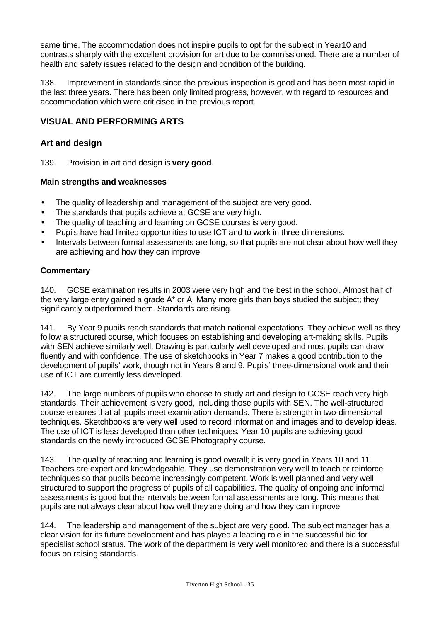same time. The accommodation does not inspire pupils to opt for the subject in Year10 and contrasts sharply with the excellent provision for art due to be commissioned. There are a number of health and safety issues related to the design and condition of the building.

138. Improvement in standards since the previous inspection is good and has been most rapid in the last three years. There has been only limited progress, however, with regard to resources and accommodation which were criticised in the previous report.

## **VISUAL AND PERFORMING ARTS**

### **Art and design**

139. Provision in art and design is **very good**.

#### **Main strengths and weaknesses**

- The quality of leadership and management of the subject are very good.
- The standards that pupils achieve at GCSE are very high.
- The quality of teaching and learning on GCSE courses is very good.
- Pupils have had limited opportunities to use ICT and to work in three dimensions.
- Intervals between formal assessments are long, so that pupils are not clear about how well they are achieving and how they can improve.

#### **Commentary**

140. GCSE examination results in 2003 were very high and the best in the school. Almost half of the very large entry gained a grade A\* or A. Many more girls than boys studied the subject; they significantly outperformed them. Standards are rising.

141. By Year 9 pupils reach standards that match national expectations. They achieve well as they follow a structured course, which focuses on establishing and developing art-making skills. Pupils with SEN achieve similarly well. Drawing is particularly well developed and most pupils can draw fluently and with confidence. The use of sketchbooks in Year 7 makes a good contribution to the development of pupils' work, though not in Years 8 and 9. Pupils' three-dimensional work and their use of ICT are currently less developed.

142. The large numbers of pupils who choose to study art and design to GCSE reach very high standards. Their achievement is very good, including those pupils with SEN. The well-structured course ensures that all pupils meet examination demands. There is strength in two-dimensional techniques. Sketchbooks are very well used to record information and images and to develop ideas. The use of ICT is less developed than other techniques. Year 10 pupils are achieving good standards on the newly introduced GCSE Photography course.

143. The quality of teaching and learning is good overall; it is very good in Years 10 and 11. Teachers are expert and knowledgeable. They use demonstration very well to teach or reinforce techniques so that pupils become increasingly competent. Work is well planned and very well structured to support the progress of pupils of all capabilities. The quality of ongoing and informal assessments is good but the intervals between formal assessments are long. This means that pupils are not always clear about how well they are doing and how they can improve.

144. The leadership and management of the subject are very good. The subject manager has a clear vision for its future development and has played a leading role in the successful bid for specialist school status. The work of the department is very well monitored and there is a successful focus on raising standards.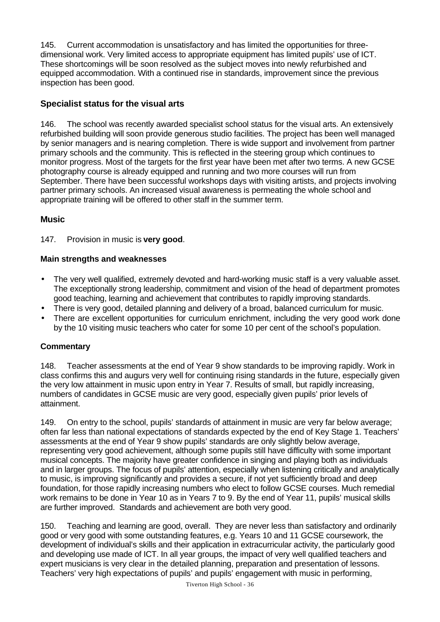145. Current accommodation is unsatisfactory and has limited the opportunities for threedimensional work. Very limited access to appropriate equipment has limited pupils' use of ICT. These shortcomings will be soon resolved as the subject moves into newly refurbished and equipped accommodation. With a continued rise in standards, improvement since the previous inspection has been good.

## **Specialist status for the visual arts**

146. The school was recently awarded specialist school status for the visual arts. An extensively refurbished building will soon provide generous studio facilities. The project has been well managed by senior managers and is nearing completion. There is wide support and involvement from partner primary schools and the community. This is reflected in the steering group which continues to monitor progress. Most of the targets for the first year have been met after two terms. A new GCSE photography course is already equipped and running and two more courses will run from September. There have been successful workshops days with visiting artists, and projects involving partner primary schools. An increased visual awareness is permeating the whole school and appropriate training will be offered to other staff in the summer term.

## **Music**

147. Provision in music is **very good**.

#### **Main strengths and weaknesses**

- The very well qualified, extremely devoted and hard-working music staff is a very valuable asset. The exceptionally strong leadership, commitment and vision of the head of department promotes good teaching, learning and achievement that contributes to rapidly improving standards.
- There is very good, detailed planning and delivery of a broad, balanced curriculum for music.
- There are excellent opportunities for curriculum enrichment, including the very good work done by the 10 visiting music teachers who cater for some 10 per cent of the school's population.

## **Commentary**

148. Teacher assessments at the end of Year 9 show standards to be improving rapidly. Work in class confirms this and augurs very well for continuing rising standards in the future, especially given the very low attainment in music upon entry in Year 7. Results of small, but rapidly increasing, numbers of candidates in GCSE music are very good, especially given pupils' prior levels of attainment.

149. On entry to the school, pupils' standards of attainment in music are very far below average; often far less than national expectations of standards expected by the end of Key Stage 1. Teachers' assessments at the end of Year 9 show pupils' standards are only slightly below average, representing very good achievement, although some pupils still have difficulty with some important musical concepts. The majority have greater confidence in singing and playing both as individuals and in larger groups. The focus of pupils' attention, especially when listening critically and analytically to music, is improving significantly and provides a secure, if not yet sufficiently broad and deep foundation, for those rapidly increasing numbers who elect to follow GCSE courses. Much remedial work remains to be done in Year 10 as in Years 7 to 9. By the end of Year 11, pupils' musical skills are further improved. Standards and achievement are both very good.

150. Teaching and learning are good, overall. They are never less than satisfactory and ordinarily good or very good with some outstanding features, e.g. Years 10 and 11 GCSE coursework, the development of individual's skills and their application in extracurricular activity, the particularly good and developing use made of ICT. In all year groups, the impact of very well qualified teachers and expert musicians is very clear in the detailed planning, preparation and presentation of lessons. Teachers' very high expectations of pupils' and pupils' engagement with music in performing,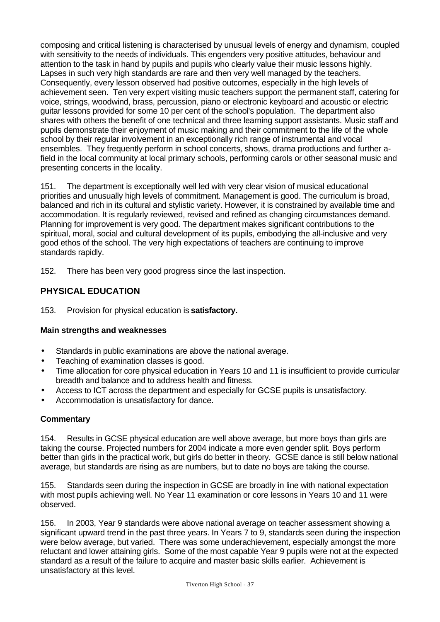composing and critical listening is characterised by unusual levels of energy and dynamism, coupled with sensitivity to the needs of individuals. This engenders very positive attitudes, behaviour and attention to the task in hand by pupils and pupils who clearly value their music lessons highly. Lapses in such very high standards are rare and then very well managed by the teachers. Consequently, every lesson observed had positive outcomes, especially in the high levels of achievement seen. Ten very expert visiting music teachers support the permanent staff, catering for voice, strings, woodwind, brass, percussion, piano or electronic keyboard and acoustic or electric guitar lessons provided for some 10 per cent of the school's population. The department also shares with others the benefit of one technical and three learning support assistants. Music staff and pupils demonstrate their enjoyment of music making and their commitment to the life of the whole school by their regular involvement in an exceptionally rich range of instrumental and vocal ensembles. They frequently perform in school concerts, shows, drama productions and further afield in the local community at local primary schools, performing carols or other seasonal music and presenting concerts in the locality.

151. The department is exceptionally well led with very clear vision of musical educational priorities and unusually high levels of commitment. Management is good. The curriculum is broad, balanced and rich in its cultural and stylistic variety. However, it is constrained by available time and accommodation. It is regularly reviewed, revised and refined as changing circumstances demand. Planning for improvement is very good. The department makes significant contributions to the spiritual, moral, social and cultural development of its pupils, embodying the all-inclusive and very good ethos of the school. The very high expectations of teachers are continuing to improve standards rapidly.

152. There has been very good progress since the last inspection.

## **PHYSICAL EDUCATION**

#### 153. Provision for physical education is **satisfactory.**

#### **Main strengths and weaknesses**

- Standards in public examinations are above the national average.
- Teaching of examination classes is good.
- Time allocation for core physical education in Years 10 and 11 is insufficient to provide curricular breadth and balance and to address health and fitness.
- Access to ICT across the department and especially for GCSE pupils is unsatisfactory.
- Accommodation is unsatisfactory for dance.

#### **Commentary**

154. Results in GCSE physical education are well above average, but more boys than girls are taking the course. Projected numbers for 2004 indicate a more even gender split. Boys perform better than girls in the practical work, but girls do better in theory. GCSE dance is still below national average, but standards are rising as are numbers, but to date no boys are taking the course.

155. Standards seen during the inspection in GCSE are broadly in line with national expectation with most pupils achieving well. No Year 11 examination or core lessons in Years 10 and 11 were observed.

156. In 2003, Year 9 standards were above national average on teacher assessment showing a significant upward trend in the past three years. In Years 7 to 9, standards seen during the inspection were below average, but varied. There was some underachievement, especially amongst the more reluctant and lower attaining girls. Some of the most capable Year 9 pupils were not at the expected standard as a result of the failure to acquire and master basic skills earlier. Achievement is unsatisfactory at this level.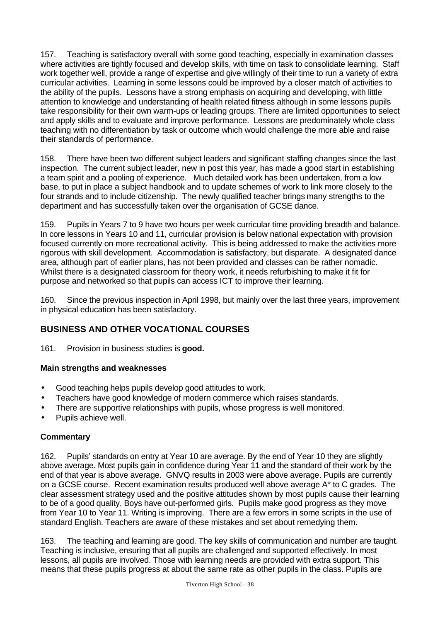157. Teaching is satisfactory overall with some good teaching, especially in examination classes where activities are tightly focused and develop skills, with time on task to consolidate learning. Staff work together well, provide a range of expertise and give willingly of their time to run a variety of extra curricular activities. Learning in some lessons could be improved by a closer match of activities to the ability of the pupils. Lessons have a strong emphasis on acquiring and developing, with little attention to knowledge and understanding of health related fitness although in some lessons pupils take responsibility for their own warm-ups or leading groups. There are limited opportunities to select and apply skills and to evaluate and improve performance. Lessons are predominately whole class teaching with no differentiation by task or outcome which would challenge the more able and raise their standards of performance.

158. There have been two different subject leaders and significant staffing changes since the last inspection. The current subject leader, new in post this year, has made a good start in establishing a team spirit and a pooling of experience. Much detailed work has been undertaken, from a low base, to put in place a subject handbook and to update schemes of work to link more closely to the four strands and to include citizenship. The newly qualified teacher brings many strengths to the department and has successfully taken over the organisation of GCSE dance.

159. Pupils in Years 7 to 9 have two hours per week curricular time providing breadth and balance. In core lessons in Years 10 and 11, curricular provision is below national expectation with provision focused currently on more recreational activity. This is being addressed to make the activities more rigorous with skill development. Accommodation is satisfactory, but disparate. A designated dance area, although part of earlier plans, has not been provided and classes can be rather nomadic. Whilst there is a designated classroom for theory work, it needs refurbishing to make it fit for purpose and networked so that pupils can access ICT to improve their learning.

160. Since the previous inspection in April 1998, but mainly over the last three years, improvement in physical education has been satisfactory.

## **BUSINESS AND OTHER VOCATIONAL COURSES**

161. Provision in business studies is **good.**

#### **Main strengths and weaknesses**

- Good teaching helps pupils develop good attitudes to work.
- Teachers have good knowledge of modern commerce which raises standards.
- There are supportive relationships with pupils, whose progress is well monitored.
- Pupils achieve well.

#### **Commentary**

162. Pupils' standards on entry at Year 10 are average. By the end of Year 10 they are slightly above average. Most pupils gain in confidence during Year 11 and the standard of their work by the end of that year is above average. GNVQ results in 2003 were above average. Pupils are currently on a GCSE course. Recent examination results produced well above average A\* to C grades. The clear assessment strategy used and the positive attitudes shown by most pupils cause their learning to be of a good quality. Boys have out-performed girls. Pupils make good progress as they move from Year 10 to Year 11. Writing is improving. There are a few errors in some scripts in the use of standard English. Teachers are aware of these mistakes and set about remedying them.

163. The teaching and learning are good. The key skills of communication and number are taught. Teaching is inclusive, ensuring that all pupils are challenged and supported effectively. In most lessons, all pupils are involved. Those with learning needs are provided with extra support. This means that these pupils progress at about the same rate as other pupils in the class. Pupils are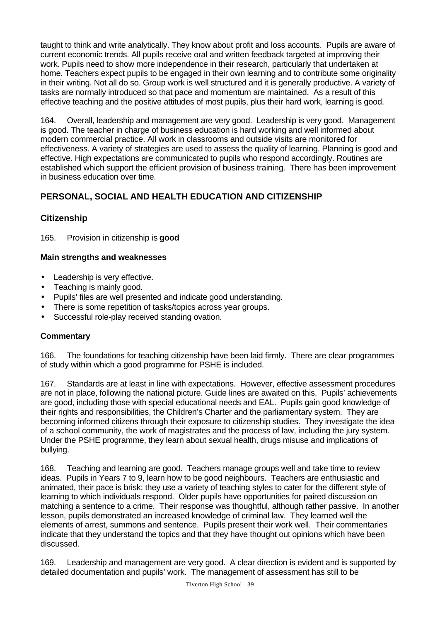taught to think and write analytically. They know about profit and loss accounts. Pupils are aware of current economic trends. All pupils receive oral and written feedback targeted at improving their work. Pupils need to show more independence in their research, particularly that undertaken at home. Teachers expect pupils to be engaged in their own learning and to contribute some originality in their writing. Not all do so. Group work is well structured and it is generally productive. A variety of tasks are normally introduced so that pace and momentum are maintained. As a result of this effective teaching and the positive attitudes of most pupils, plus their hard work, learning is good.

164. Overall, leadership and management are very good. Leadership is very good. Management is good. The teacher in charge of business education is hard working and well informed about modern commercial practice. All work in classrooms and outside visits are monitored for effectiveness. A variety of strategies are used to assess the quality of learning. Planning is good and effective. High expectations are communicated to pupils who respond accordingly. Routines are established which support the efficient provision of business training. There has been improvement in business education over time.

## **PERSONAL, SOCIAL AND HEALTH EDUCATION AND CITIZENSHIP**

## **Citizenship**

165. Provision in citizenship is **good**

#### **Main strengths and weaknesses**

- Leadership is very effective.
- Teaching is mainly good.
- Pupils' files are well presented and indicate good understanding.
- There is some repetition of tasks/topics across year groups.
- Successful role-play received standing ovation.

## **Commentary**

166. The foundations for teaching citizenship have been laid firmly. There are clear programmes of study within which a good programme for PSHE is included.

167. Standards are at least in line with expectations. However, effective assessment procedures are not in place, following the national picture. Guide lines are awaited on this. Pupils' achievements are good, including those with special educational needs and EAL. Pupils gain good knowledge of their rights and responsibilities, the Children's Charter and the parliamentary system. They are becoming informed citizens through their exposure to citizenship studies. They investigate the idea of a school community, the work of magistrates and the process of law, including the jury system. Under the PSHE programme, they learn about sexual health, drugs misuse and implications of bullying.

168. Teaching and learning are good. Teachers manage groups well and take time to review ideas. Pupils in Years 7 to 9, learn how to be good neighbours. Teachers are enthusiastic and animated, their pace is brisk; they use a variety of teaching styles to cater for the different style of learning to which individuals respond. Older pupils have opportunities for paired discussion on matching a sentence to a crime. Their response was thoughtful, although rather passive. In another lesson, pupils demonstrated an increased knowledge of criminal law. They learned well the elements of arrest, summons and sentence. Pupils present their work well. Their commentaries indicate that they understand the topics and that they have thought out opinions which have been discussed.

169. Leadership and management are very good. A clear direction is evident and is supported by detailed documentation and pupils' work. The management of assessment has still to be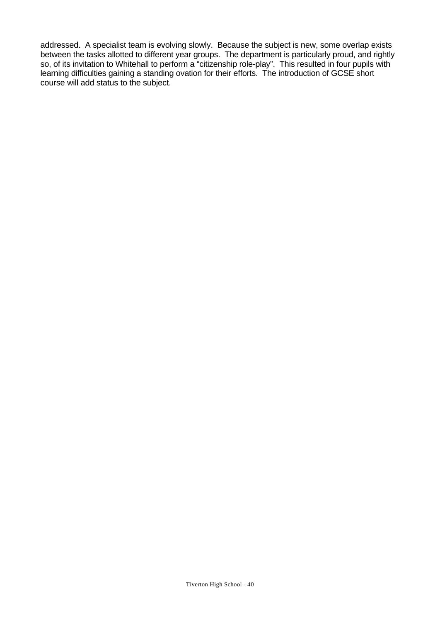addressed. A specialist team is evolving slowly. Because the subject is new, some overlap exists between the tasks allotted to different year groups. The department is particularly proud, and rightly so, of its invitation to Whitehall to perform a "citizenship role-play". This resulted in four pupils with learning difficulties gaining a standing ovation for their efforts. The introduction of GCSE short course will add status to the subject.